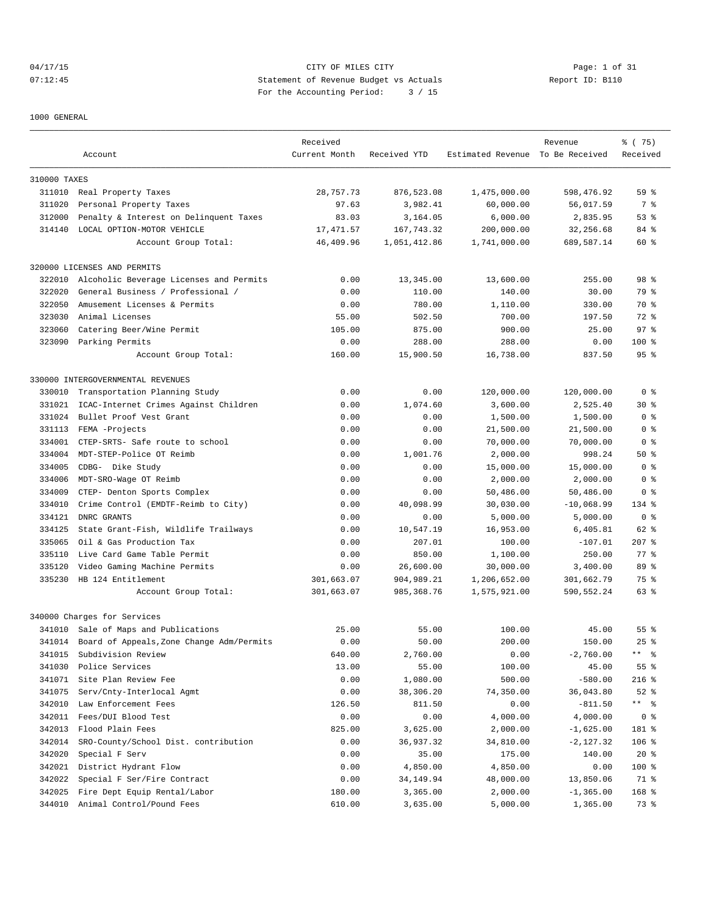04/17/15 CITY OF MILES CITY Page: 1 of 31 07:12:45 Statement of Revenue Budget vs Actuals Report ID: B110 For the Accounting Period: 3 / 15

1000 GENERAL

|              | Account                                   | Received<br>Current Month | Received YTD | Estimated Revenue To Be Received | Revenue      | % (75)<br>Received |
|--------------|-------------------------------------------|---------------------------|--------------|----------------------------------|--------------|--------------------|
|              |                                           |                           |              |                                  |              |                    |
| 310000 TAXES |                                           |                           |              |                                  |              |                    |
|              | 311010 Real Property Taxes                | 28,757.73                 | 876,523.08   | 1,475,000.00                     | 598,476.92   | 59 <sup>8</sup>    |
| 311020       | Personal Property Taxes                   | 97.63                     | 3,982.41     | 60,000.00                        | 56,017.59    | 7 %                |
| 312000       | Penalty & Interest on Delinquent Taxes    | 83.03                     | 3,164.05     | 6,000.00                         | 2,835.95     | 53%                |
| 314140       | LOCAL OPTION-MOTOR VEHICLE                | 17, 471.57                | 167,743.32   | 200,000.00                       | 32,256.68    | 84 %               |
|              | Account Group Total:                      | 46,409.96                 | 1,051,412.86 | 1,741,000.00                     | 689,587.14   | 60 %               |
|              | 320000 LICENSES AND PERMITS               |                           |              |                                  |              |                    |
| 322010       | Alcoholic Beverage Licenses and Permits   | 0.00                      | 13,345.00    | 13,600.00                        | 255.00       | 98 <sup>8</sup>    |
| 322020       | General Business / Professional /         | 0.00                      | 110.00       | 140.00                           | 30.00        | 79 %               |
| 322050       | Amusement Licenses & Permits              | 0.00                      | 780.00       | 1,110.00                         | 330.00       | 70 %               |
| 323030       | Animal Licenses                           | 55.00                     | 502.50       | 700.00                           | 197.50       | 72 %               |
| 323060       | Catering Beer/Wine Permit                 | 105.00                    | 875.00       | 900.00                           | 25.00        | 97 <sup>°</sup>    |
| 323090       | Parking Permits                           | 0.00                      | 288.00       | 288.00                           | 0.00         | $100$ %            |
|              | Account Group Total:                      | 160.00                    | 15,900.50    | 16,738.00                        | 837.50       | 95%                |
|              | 330000 INTERGOVERNMENTAL REVENUES         |                           |              |                                  |              |                    |
| 330010       | Transportation Planning Study             | 0.00                      | 0.00         | 120,000.00                       | 120,000.00   | 0 <sup>8</sup>     |
| 331021       | ICAC-Internet Crimes Against Children     | 0.00                      | 1,074.60     | 3,600.00                         | 2,525.40     | $30*$              |
| 331024       | Bullet Proof Vest Grant                   | 0.00                      | 0.00         | 1,500.00                         | 1,500.00     | 0 <sup>8</sup>     |
| 331113       | FEMA -Projects                            | 0.00                      | 0.00         | 21,500.00                        | 21,500.00    | 0 %                |
| 334001       | CTEP-SRTS- Safe route to school           | 0.00                      | 0.00         | 70,000.00                        | 70,000.00    | 0 <sub>8</sub>     |
| 334004       | MDT-STEP-Police OT Reimb                  | 0.00                      | 1,001.76     | 2,000.00                         | 998.24       | 50%                |
| 334005       | CDBG- Dike Study                          | 0.00                      | 0.00         | 15,000.00                        | 15,000.00    | 0 <sup>8</sup>     |
| 334006       | MDT-SRO-Wage OT Reimb                     | 0.00                      | 0.00         | 2,000.00                         | 2,000.00     | 0 <sub>8</sub>     |
| 334009       | CTEP- Denton Sports Complex               | 0.00                      | 0.00         | 50,486.00                        | 50,486.00    | 0 %                |
| 334010       | Crime Control (EMDTF-Reimb to City)       | 0.00                      | 40,098.99    | 30,030.00                        | $-10,068.99$ | 134 %              |
| 334121       | DNRC GRANTS                               | 0.00                      | 0.00         | 5,000.00                         | 5,000.00     | 0 <sub>8</sub>     |
| 334125       | State Grant-Fish, Wildlife Trailways      | 0.00                      | 10,547.19    | 16,953.00                        | 6,405.81     | 62 %               |
| 335065       | Oil & Gas Production Tax                  | 0.00                      | 207.01       | 100.00                           | $-107.01$    | $207$ %            |
| 335110       | Live Card Game Table Permit               | 0.00                      | 850.00       |                                  | 250.00       | 77.8               |
|              |                                           |                           |              | 1,100.00                         |              |                    |
| 335120       | Video Gaming Machine Permits              | 0.00                      | 26,600.00    | 30,000.00                        | 3,400.00     | 89 %               |
| 335230       | HB 124 Entitlement                        | 301,663.07                | 904,989.21   | 1,206,652.00                     | 301,662.79   | 75 %<br>63 %       |
|              | Account Group Total:                      | 301,663.07                | 985, 368.76  | 1,575,921.00                     | 590,552.24   |                    |
|              | 340000 Charges for Services               |                           |              |                                  |              |                    |
|              | 341010 Sale of Maps and Publications      | 25.00                     | 55.00        | 100.00                           | 45.00        | 55 %               |
| 341014       | Board of Appeals, Zone Change Adm/Permits | 0.00                      | 50.00        | 200.00                           | 150.00       | $25$ $%$           |
| 341015       | Subdivision Review                        | 640.00                    | 2,760.00     | 0.00                             | $-2,760.00$  | ** 응               |
| 341030       | Police Services                           | 13.00                     | 55.00        | 100.00                           | 45.00        | 55 %               |
| 341071       | Site Plan Review Fee                      | 0.00                      | 1,080.00     | 500.00                           | $-580.00$    | $216$ %            |
| 341075       | Serv/Cnty-Interlocal Agmt                 | 0.00                      | 38,306.20    | 74,350.00                        | 36,043.80    | $52$ $%$           |
| 342010       | Law Enforcement Fees                      | 126.50                    | 811.50       | 0.00                             | $-811.50$    | ** 응               |
| 342011       | Fees/DUI Blood Test                       | 0.00                      | 0.00         | 4,000.00                         | 4,000.00     | 0 <sup>8</sup>     |
| 342013       | Flood Plain Fees                          | 825.00                    | 3,625.00     | 2,000.00                         | $-1,625.00$  | 181 %              |
| 342014       | SRO-County/School Dist. contribution      | 0.00                      | 36,937.32    | 34,810.00                        | $-2,127.32$  | $106$ %            |
| 342020       | Special F Serv                            | 0.00                      | 35.00        | 175.00                           | 140.00       | $20*$              |
| 342021       | District Hydrant Flow                     | 0.00                      | 4,850.00     | 4,850.00                         | 0.00         | 100 %              |
| 342022       | Special F Ser/Fire Contract               | 0.00                      | 34,149.94    | 48,000.00                        | 13,850.06    | 71 %               |
| 342025       | Fire Dept Equip Rental/Labor              | 180.00                    | 3,365.00     | 2,000.00                         | $-1, 365.00$ | 168 %              |
| 344010       | Animal Control/Pound Fees                 | 610.00                    | 3,635.00     | 5,000.00                         | 1,365.00     | 73 %               |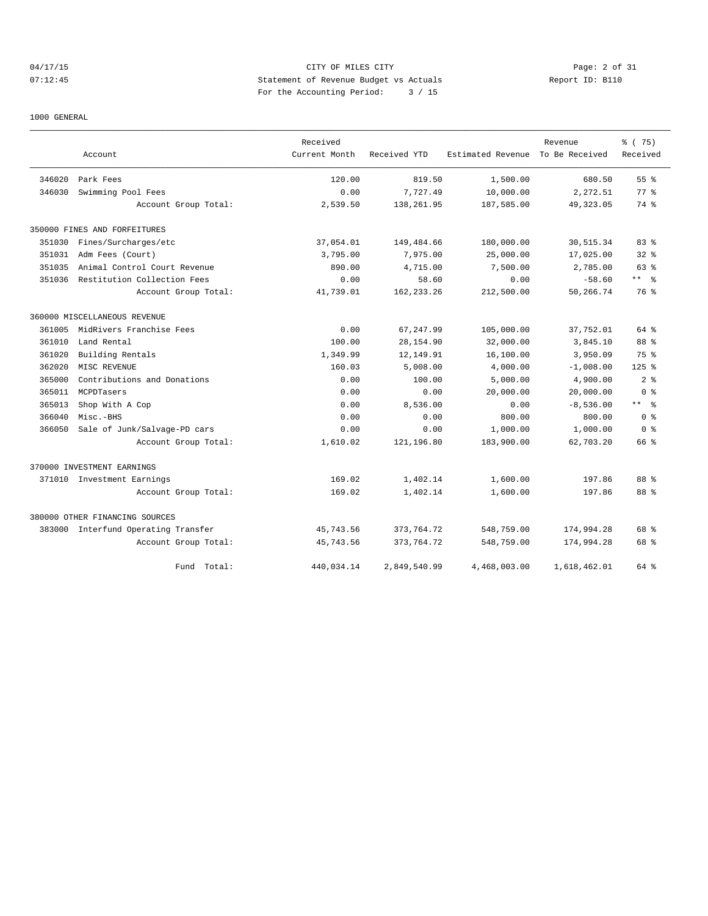## 04/17/15 Page: 2 of 31 07:12:45 Statement of Revenue Budget vs Actuals Report ID: B110 For the Accounting Period: 3 / 15

## 1000 GENERAL

|        |                                     | Received      |              |                   | Revenue        | 8 (75)          |
|--------|-------------------------------------|---------------|--------------|-------------------|----------------|-----------------|
|        | Account                             | Current Month | Received YTD | Estimated Revenue | To Be Received | Received        |
| 346020 | Park Fees                           | 120.00        | 819.50       | 1,500.00          | 680.50         | 55 <sup>8</sup> |
| 346030 | Swimming Pool Fees                  | 0.00          | 7,727.49     | 10,000.00         | 2,272.51       | 77.8            |
|        | Account Group Total:                | 2,539.50      | 138,261.95   | 187,585.00        | 49, 323.05     | 74 %            |
|        | 350000 FINES AND FORFEITURES        |               |              |                   |                |                 |
| 351030 | Fines/Surcharges/etc                | 37,054.01     | 149,484.66   | 180,000.00        | 30,515.34      | 83%             |
| 351031 | Adm Fees (Court)                    | 3,795.00      | 7,975.00     | 25,000.00         | 17,025.00      | 328             |
| 351035 | Animal Control Court Revenue        | 890.00        | 4,715.00     | 7,500.00          | 2,785.00       | 63 %            |
| 351036 | Restitution Collection Fees         | 0.00          | 58.60        | 0.00              | $-58.60$       | $***$ %         |
|        | Account Group Total:                | 41,739.01     | 162, 233, 26 | 212,500.00        | 50,266.74      | 76 %            |
|        | 360000 MISCELLANEOUS REVENUE        |               |              |                   |                |                 |
| 361005 | MidRivers Franchise Fees            | 0.00          | 67,247.99    | 105,000.00        | 37,752.01      | 64 %            |
| 361010 | Land Rental                         | 100.00        | 28,154.90    | 32,000.00         | 3,845.10       | 88 %            |
| 361020 | Building Rentals                    | 1,349.99      | 12,149.91    | 16,100.00         | 3,950.09       | 75 %            |
| 362020 | MISC REVENUE                        | 160.03        | 5,008.00     | 4,000.00          | $-1,008.00$    | $125$ %         |
| 365000 | Contributions and Donations         | 0.00          | 100.00       | 5,000.00          | 4,900.00       | 2 <sup>8</sup>  |
| 365011 | MCPDTasers                          | 0.00          | 0.00         | 20,000.00         | 20,000.00      | 0 <sup>8</sup>  |
| 365013 | Shop With A Cop                     | 0.00          | 8,536.00     | 0.00              | $-8,536.00$    | $***$ %         |
| 366040 | Misc.-BHS                           | 0.00          | 0.00         | 800.00            | 800.00         | 0 <sup>8</sup>  |
| 366050 | Sale of Junk/Salvage-PD cars        | 0.00          | 0.00         | 1,000.00          | 1,000.00       | 0 <sup>8</sup>  |
|        | Account Group Total:                | 1,610.02      | 121,196.80   | 183,900.00        | 62,703.20      | 66 %            |
|        | 370000 INVESTMENT EARNINGS          |               |              |                   |                |                 |
|        | 371010 Investment Earnings          | 169.02        | 1,402.14     | 1,600.00          | 197.86         | 88 %            |
|        | Account Group Total:                | 169.02        | 1,402.14     | 1,600.00          | 197.86         | 88 %            |
|        | 380000 OTHER FINANCING SOURCES      |               |              |                   |                |                 |
|        | 383000 Interfund Operating Transfer | 45,743.56     | 373,764.72   | 548,759.00        | 174,994.28     | 68 %            |
|        | Account Group Total:                | 45,743.56     | 373,764.72   | 548,759.00        | 174,994.28     | 68 %            |
|        | Fund Total:                         | 440,034.14    | 2,849,540.99 | 4,468,003.00      | 1,618,462.01   | 64 %            |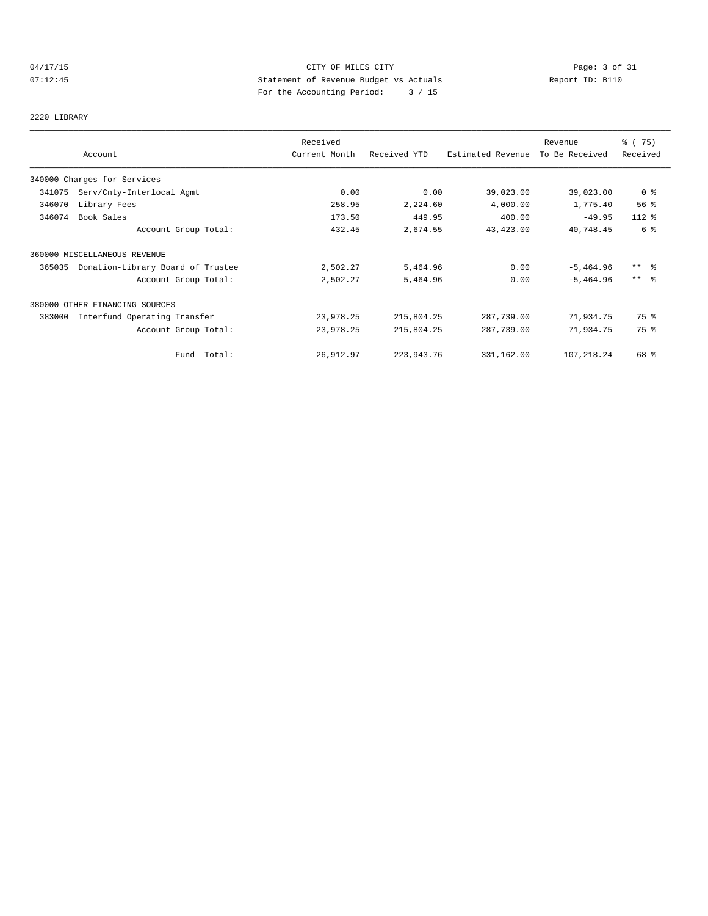# 04/17/15 Page: 3 of 31 07:12:45 Statement of Revenue Budget vs Actuals Report ID: B110 For the Accounting Period: 3 / 15

## 2220 LIBRARY

|        |                                   | Received      |              |                   | Revenue        | 8 (75)         |
|--------|-----------------------------------|---------------|--------------|-------------------|----------------|----------------|
|        | Account                           | Current Month | Received YTD | Estimated Revenue | To Be Received | Received       |
|        | 340000 Charges for Services       |               |              |                   |                |                |
| 341075 | Serv/Cnty-Interlocal Agmt         | 0.00          | 0.00         | 39,023.00         | 39,023.00      | 0 <sup>8</sup> |
| 346070 | Library Fees                      | 258.95        | 2,224.60     | 4,000.00          | 1,775.40       | 56%            |
| 346074 | Book Sales                        | 173.50        | 449.95       | 400.00            | $-49.95$       | $112*$         |
|        | Account Group Total:              | 432.45        | 2,674.55     | 43,423.00         | 40,748.45      | 6 %            |
|        | 360000 MISCELLANEOUS REVENUE      |               |              |                   |                |                |
| 365035 | Donation-Library Board of Trustee | 2,502.27      | 5,464.96     | 0.00              | $-5, 464.96$   | $***$ $ -$     |
|        | Account Group Total:              | 2,502.27      | 5,464.96     | 0.00              | $-5, 464.96$   | $***$ 8        |
|        | 380000 OTHER FINANCING SOURCES    |               |              |                   |                |                |
| 383000 | Interfund Operating Transfer      | 23,978.25     | 215,804.25   | 287,739.00        | 71,934.75      | 75 %           |
|        | Account Group Total:              | 23,978.25     | 215,804.25   | 287,739.00        | 71,934.75      | 75 %           |
|        | Fund Total:                       | 26,912.97     | 223, 943. 76 | 331,162.00        | 107,218.24     | 68 %           |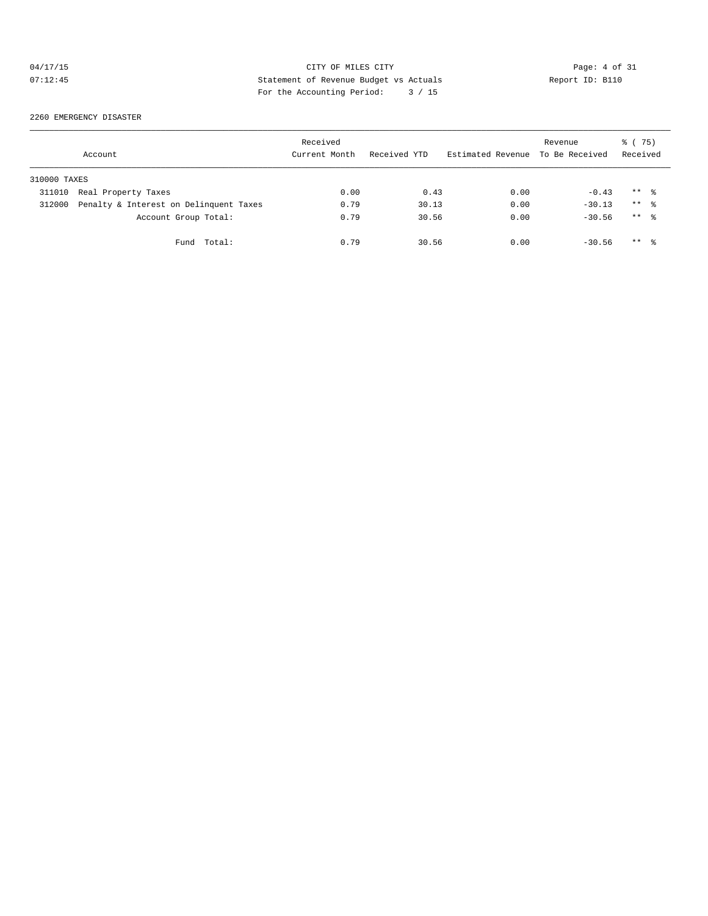# 04/17/15 CITY OF MILES CITY Page: 4 of 31 07:12:45 Statement of Revenue Budget vs Actuals Report ID: B110 For the Accounting Period: 3 / 15

## 2260 EMERGENCY DISASTER

|              | Account                                | Received<br>Current Month | Received YTD | Estimated Revenue To Be Received | Revenue  | 8 (75)<br>Received  |
|--------------|----------------------------------------|---------------------------|--------------|----------------------------------|----------|---------------------|
| 310000 TAXES |                                        |                           |              |                                  |          |                     |
| 311010       | Real Property Taxes                    | 0.00                      | 0.43         | 0.00                             | $-0.43$  | $***$ $\frac{6}{2}$ |
| 312000       | Penalty & Interest on Delinquent Taxes | 0.79                      | 30.13        | 0.00                             | $-30.13$ | $***$ 8             |
|              | Account Group Total:                   | 0.79                      | 30.56        | 0.00                             | $-30.56$ | $***$ $\frac{6}{6}$ |
|              | Fund Total:                            | 0.79                      | 30.56        | 0.00                             | $-30.56$ | $***$ 2             |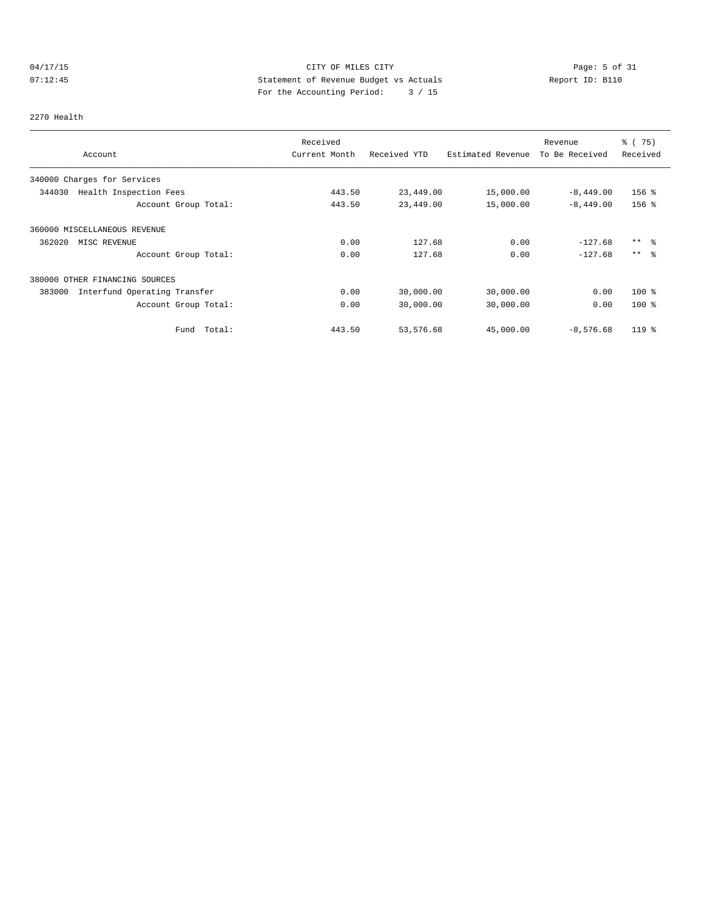# 04/17/15 CITY OF MILES CITY Page: 5 of 31 07:12:45 Statement of Revenue Budget vs Actuals Report ID: B110 For the Accounting Period: 3 / 15

## 2270 Health

|                                        | Received      |              |                   | Revenue        | % (75)   |
|----------------------------------------|---------------|--------------|-------------------|----------------|----------|
| Account                                | Current Month | Received YTD | Estimated Revenue | To Be Received | Received |
| 340000 Charges for Services            |               |              |                   |                |          |
| 344030<br>Health Inspection Fees       | 443.50        | 23,449.00    | 15,000.00         | $-8,449.00$    | $156$ %  |
| Account Group Total:                   | 443.50        | 23,449.00    | 15,000.00         | $-8,449.00$    | $156$ %  |
| 360000 MISCELLANEOUS REVENUE           |               |              |                   |                |          |
| 362020<br>MISC REVENUE                 | 0.00          | 127.68       | 0.00              | $-127.68$      | $***$ %  |
| Account Group Total:                   | 0.00          | 127.68       | 0.00              | $-127.68$      | $***$ %  |
| 380000 OTHER FINANCING SOURCES         |               |              |                   |                |          |
| 383000<br>Interfund Operating Transfer | 0.00          | 30,000.00    | 30,000.00         | 0.00           | $100*$   |
| Account Group Total:                   | 0.00          | 30,000.00    | 30,000.00         | 0.00           | $100*$   |
| Total:<br>Fund                         | 443.50        | 53,576.68    | 45,000.00         | $-8,576.68$    | 119 %    |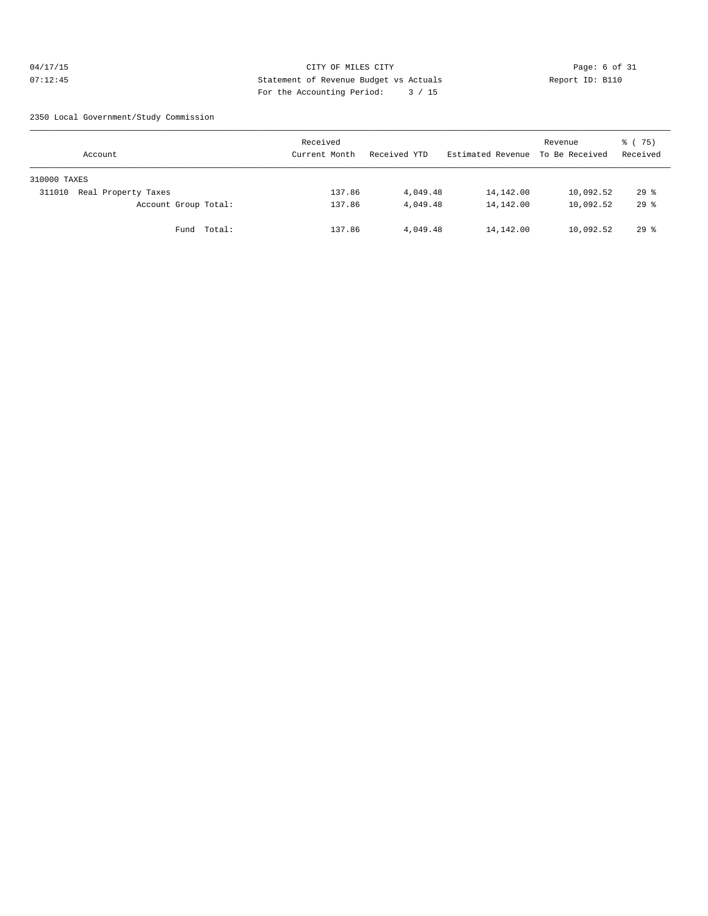## 04/17/15 CITY OF MILES CITY Page: 6 of 31 07:12:45 Statement of Revenue Budget vs Actuals Report ID: B110 For the Accounting Period: 3 / 15

2350 Local Government/Study Commission

| Account                       | Received<br>Current Month | Received YTD | Estimated Revenue | Revenue<br>To Be Received | 8 (75)<br>Received |
|-------------------------------|---------------------------|--------------|-------------------|---------------------------|--------------------|
| 310000 TAXES                  |                           |              |                   |                           |                    |
| Real Property Taxes<br>311010 | 137.86                    | 4,049.48     | 14,142.00         | 10,092.52                 | $29$ %             |
| Account Group Total:          | 137.86                    | 4,049.48     | 14,142.00         | 10,092.52                 | $29*$              |
| Fund Total:                   | 137.86                    | 4,049.48     | 14,142.00         | 10,092.52                 | 298                |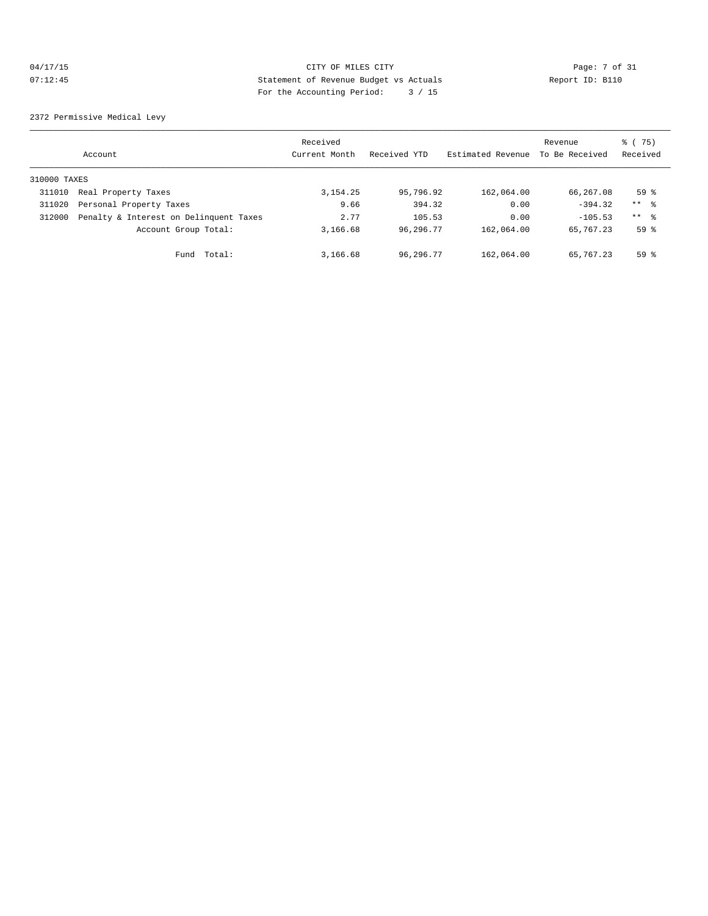## 04/17/15 CITY OF MILES CITY Page: 7 of 31 07:12:45 Statement of Revenue Budget vs Actuals Report ID: B110 For the Accounting Period: 3 / 15

2372 Permissive Medical Levy

|              | Account                                | Received<br>Current Month | Received YTD | Estimated Revenue | Revenue<br>To Be Received | 8 (75)<br>Received |
|--------------|----------------------------------------|---------------------------|--------------|-------------------|---------------------------|--------------------|
| 310000 TAXES |                                        |                           |              |                   |                           |                    |
| 311010       | Real Property Taxes                    | 3, 154. 25                | 95,796.92    | 162,064.00        | 66,267.08                 | 59 <sup>°</sup>    |
| 311020       | Personal Property Taxes                | 9.66                      | 394.32       | 0.00              | $-394.32$                 | $***$ %            |
| 312000       | Penalty & Interest on Delinquent Taxes | 2.77                      | 105.53       | 0.00              | $-105.53$                 | $***$ 8            |
|              | Account Group Total:                   | 3,166.68                  | 96,296.77    | 162,064.00        | 65,767.23                 | 59 <sup>8</sup>    |
|              | Fund Total:                            | 3,166.68                  | 96,296.77    | 162,064.00        | 65,767.23                 | 59 <sup>8</sup>    |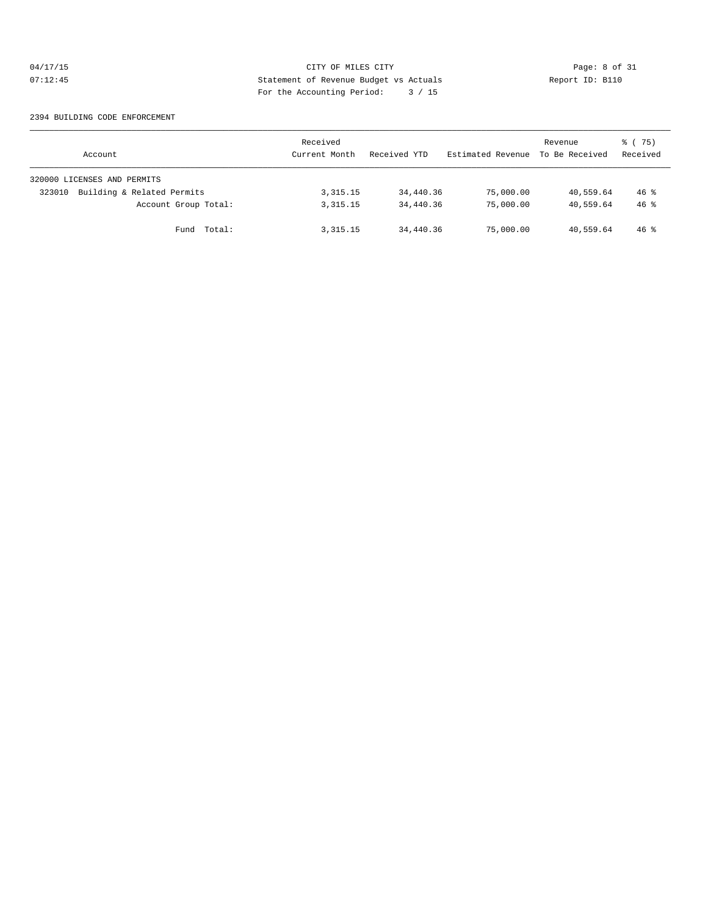## 04/17/15 CITY OF MILES CITY Page: 8 of 31<br>07:12:45 CITY Page: 8 of 31<br>07:12:45 CITY Page: 8 of 31<br>07:12:45 CITY Page: 10:12:45 07:12:45 Statement of Revenue Budget vs Actuals Report ID: B110 For the Accounting Period: 3 / 15

## 2394 BUILDING CODE ENFORCEMENT

| Account                              | Received<br>Current Month | Received YTD | Estimated Revenue | Revenue<br>To Be Received | 8 (75)<br>Received |
|--------------------------------------|---------------------------|--------------|-------------------|---------------------------|--------------------|
| 320000 LICENSES AND PERMITS          |                           |              |                   |                           |                    |
| Building & Related Permits<br>323010 | 3, 315. 15                | 34,440.36    | 75,000.00         | 40,559.64                 | $46*$              |
| Account Group Total:                 | 3, 315. 15                | 34,440.36    | 75,000.00         | 40,559.64                 | $46*$              |
| Fund Total:                          | 3, 315. 15                | 34,440.36    | 75,000.00         | 40,559.64                 | $46*$              |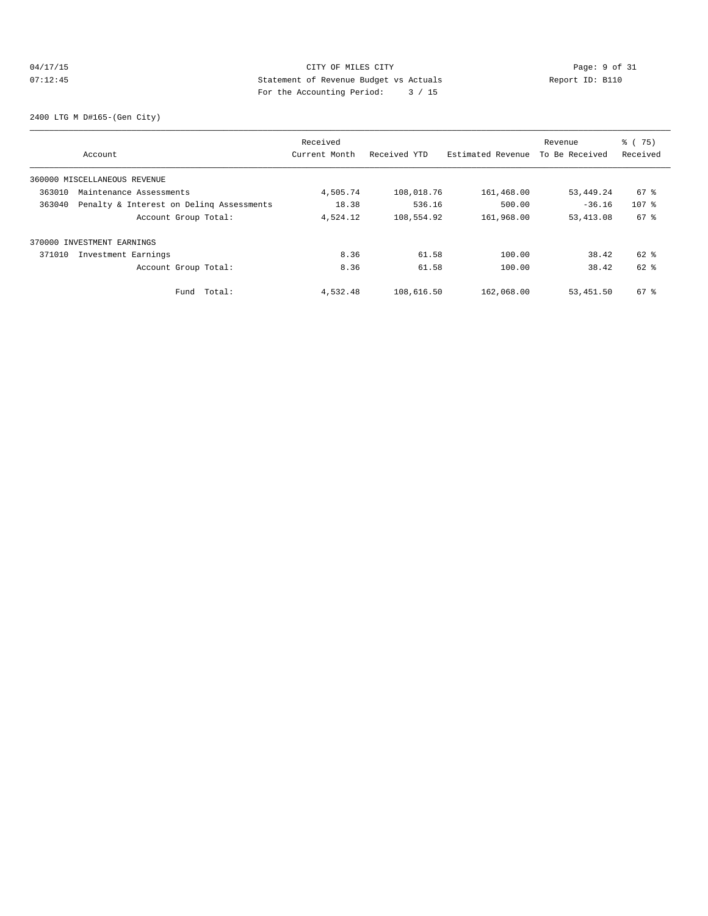## 04/17/15 CITY OF MILES CITY Page: 9 of 31<br>07:12:45 Statement of Revenue Budget vs Actuals Report ID: B110<br>Por the Accumular Device: 2016. 07:12:45 Statement of Revenue Budget vs Actuals Report ID: B110 For the Accounting Period: 3 / 15

2400 LTG M D#165-(Gen City)

|        |                                          | Received      |              |                   | Revenue        | % (75)   |
|--------|------------------------------------------|---------------|--------------|-------------------|----------------|----------|
|        | Account                                  | Current Month | Received YTD | Estimated Revenue | To Be Received | Received |
|        | 360000 MISCELLANEOUS REVENUE             |               |              |                   |                |          |
| 363010 | Maintenance Assessments                  | 4,505.74      | 108,018.76   | 161,468.00        | 53,449.24      | 67 %     |
| 363040 | Penalty & Interest on Deling Assessments | 18.38         | 536.16       | 500.00            | $-36.16$       | $107$ %  |
|        | Account Group Total:                     | 4,524.12      | 108,554.92   | 161,968.00        | 53, 413.08     | 67 %     |
|        | 370000 INVESTMENT EARNINGS               |               |              |                   |                |          |
| 371010 | Investment Earnings                      | 8.36          | 61.58        | 100.00            | 38.42          | 62 %     |
|        | Account Group Total:                     | 8.36          | 61.58        | 100.00            | 38.42          | 62 %     |
|        | Total:<br>Fund                           | 4,532.48      | 108,616.50   | 162,068.00        | 53,451.50      | 67 %     |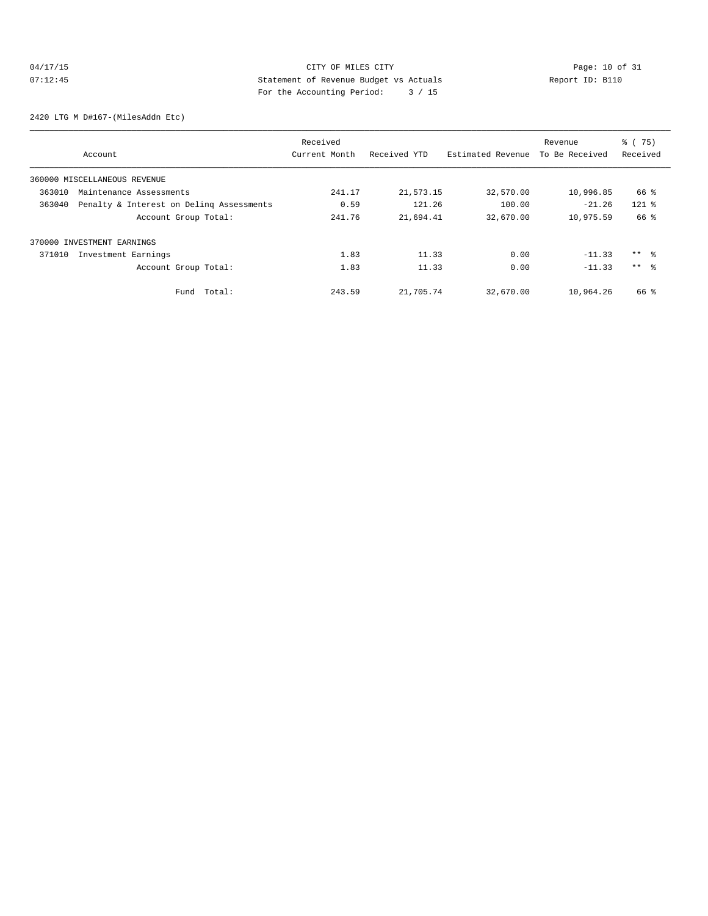# 04/17/15 CITY OF MILES CITY<br>
07:12:45 CITY Despect 10 of 31<br>
Statement of Revenue Budget vs Actuals<br>
Por the Aggounting Doriod: 2 / 15 07:12:45 Statement of Revenue Budget vs Actuals Report ID: B110 For the Accounting Period: 3 / 15

2420 LTG M D#167-(MilesAddn Etc)

|        |                                          | Received      |              | Revenue           |                | % (75)          |
|--------|------------------------------------------|---------------|--------------|-------------------|----------------|-----------------|
|        | Account                                  | Current Month | Received YTD | Estimated Revenue | To Be Received | Received        |
|        | 360000 MISCELLANEOUS REVENUE             |               |              |                   |                |                 |
| 363010 | Maintenance Assessments                  | 241.17        | 21,573.15    | 32,570.00         | 10,996.85      | 66 %            |
| 363040 | Penalty & Interest on Deling Assessments | 0.59          | 121.26       | 100.00            | $-21.26$       | $121$ %         |
|        | Account Group Total:                     | 241.76        | 21,694.41    | 32,670.00         | 10,975.59      | 66 %            |
|        | 370000 INVESTMENT EARNINGS               |               |              |                   |                |                 |
| 371010 | Investment Earnings                      | 1.83          | 11.33        | 0.00              | $-11.33$       | $***$ $\approx$ |
|        | Account Group Total:                     | 1.83          | 11.33        | 0.00              | $-11.33$       | $***$ $\approx$ |
|        | Total:<br>Fund                           | 243.59        | 21,705.74    | 32,670.00         | 10,964.26      | 66 %            |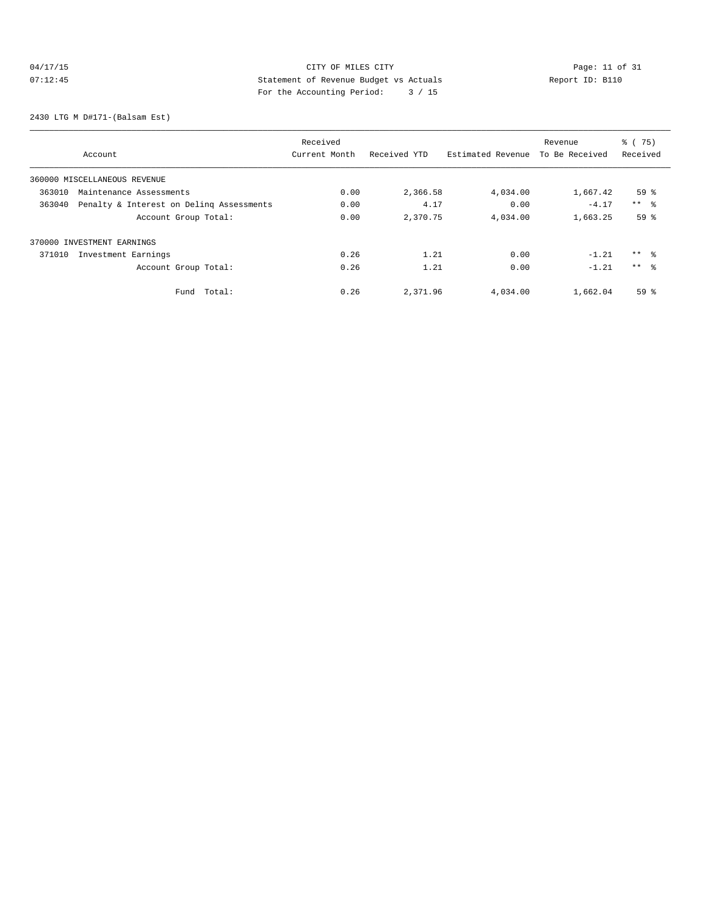# 04/17/15 Page: 11 of 31 07:12:45 Statement of Revenue Budget vs Actuals<br>
Report ID: B110 For the Accounting Period: 3 / 15

2430 LTG M D#171-(Balsam Est)

|        |                                          | Received      |              |                   | Revenue        | % (75)              |
|--------|------------------------------------------|---------------|--------------|-------------------|----------------|---------------------|
|        | Account                                  | Current Month | Received YTD | Estimated Revenue | To Be Received | Received            |
|        | 360000 MISCELLANEOUS REVENUE             |               |              |                   |                |                     |
| 363010 | Maintenance Assessments                  | 0.00          | 2,366.58     | 4,034.00          | 1,667.42       | 59 <sup>8</sup>     |
| 363040 | Penalty & Interest on Deling Assessments | 0.00          | 4.17         | 0.00              | $-4.17$        | $***$ $\frac{6}{5}$ |
|        | Account Group Total:                     | 0.00          | 2,370.75     | 4,034.00          | 1,663.25       | 59 <sup>°</sup>     |
|        | 370000 INVESTMENT EARNINGS               |               |              |                   |                |                     |
| 371010 | Investment Earnings                      | 0.26          | 1.21         | 0.00              | $-1.21$        | $***$ %             |
|        | Account Group Total:                     | 0.26          | 1.21         | 0.00              | $-1.21$        | $***$ $\approx$     |
|        | Total:<br>Fund                           | 0.26          | 2,371.96     | 4,034.00          | 1,662.04       | 59 <sup>°</sup>     |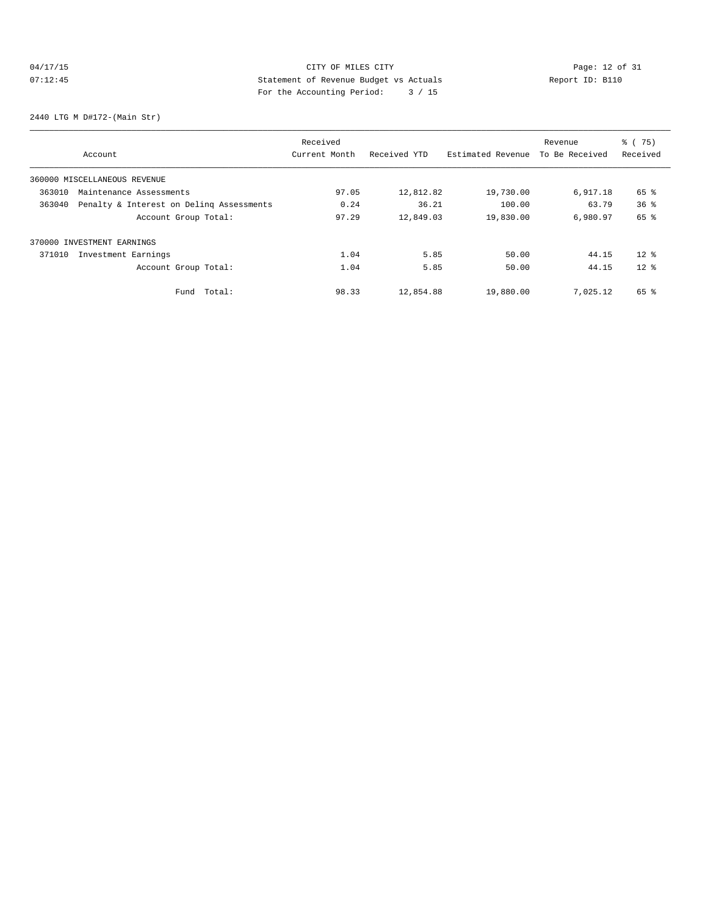# 04/17/15 Page: 12 of 31 07:12:45 Statement of Revenue Budget vs Actuals Report ID: B110 For the Accounting Period: 3 / 15

2440 LTG M D#172-(Main Str)

|        |                                          | Received      |              |                   | Revenue        | % (75)          |
|--------|------------------------------------------|---------------|--------------|-------------------|----------------|-----------------|
|        | Account                                  | Current Month | Received YTD | Estimated Revenue | To Be Received | Received        |
|        | 360000 MISCELLANEOUS REVENUE             |               |              |                   |                |                 |
| 363010 | Maintenance Assessments                  | 97.05         | 12,812.82    | 19,730.00         | 6,917.18       | 65 %            |
| 363040 | Penalty & Interest on Deling Assessments | 0.24          | 36.21        | 100.00            | 63.79          | 36 <sup>8</sup> |
|        | Account Group Total:                     | 97.29         | 12,849.03    | 19,830.00         | 6,980.97       | 65 %            |
|        | 370000 INVESTMENT EARNINGS               |               |              |                   |                |                 |
| 371010 | Investment Earnings                      | 1.04          | 5.85         | 50.00             | 44.15          | $12*$           |
|        | Account Group Total:                     | 1.04          | 5.85         | 50.00             | 44.15          | $12*$           |
|        | Total:<br>Fund                           | 98.33         | 12,854.88    | 19,880.00         | 7,025.12       | 65 %            |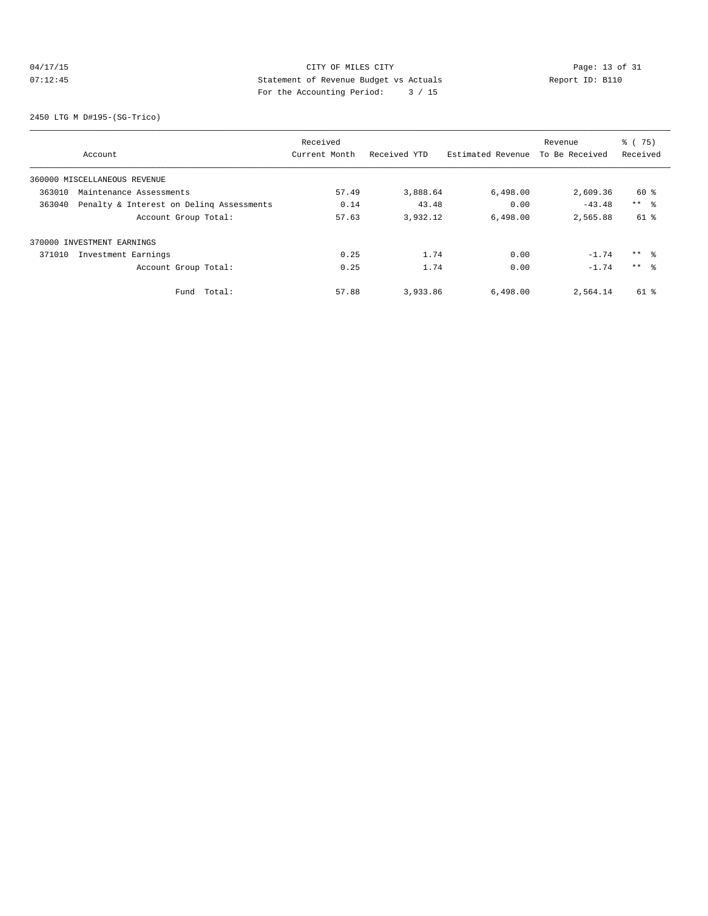# 04/17/15 Page: 13 of 31 07:12:45 Statement of Revenue Budget vs Actuals Report ID: B110 For the Accounting Period: 3 / 15

2450 LTG M D#195-(SG-Trico)

|        |                                          | Received      |              |                   | Revenue        | % (75)          |
|--------|------------------------------------------|---------------|--------------|-------------------|----------------|-----------------|
|        | Account                                  | Current Month | Received YTD | Estimated Revenue | To Be Received | Received        |
|        | 360000 MISCELLANEOUS REVENUE             |               |              |                   |                |                 |
| 363010 | Maintenance Assessments                  | 57.49         | 3,888.64     | 6,498.00          | 2,609.36       | 60 %            |
| 363040 | Penalty & Interest on Deling Assessments | 0.14          | 43.48        | 0.00              | $-43.48$       | $***$ $\approx$ |
|        | Account Group Total:                     | 57.63         | 3,932.12     | 6,498.00          | 2,565.88       | $61$ %          |
|        | 370000 INVESTMENT EARNINGS               |               |              |                   |                |                 |
| 371010 | Investment Earnings                      | 0.25          | 1.74         | 0.00              | $-1.74$        | $***$ %         |
|        | Account Group Total:                     | 0.25          | 1.74         | 0.00              | $-1.74$        | $***$ 8         |
|        | Total:<br>Fund                           | 57.88         | 3,933.86     | 6,498.00          | 2,564.14       | 61 %            |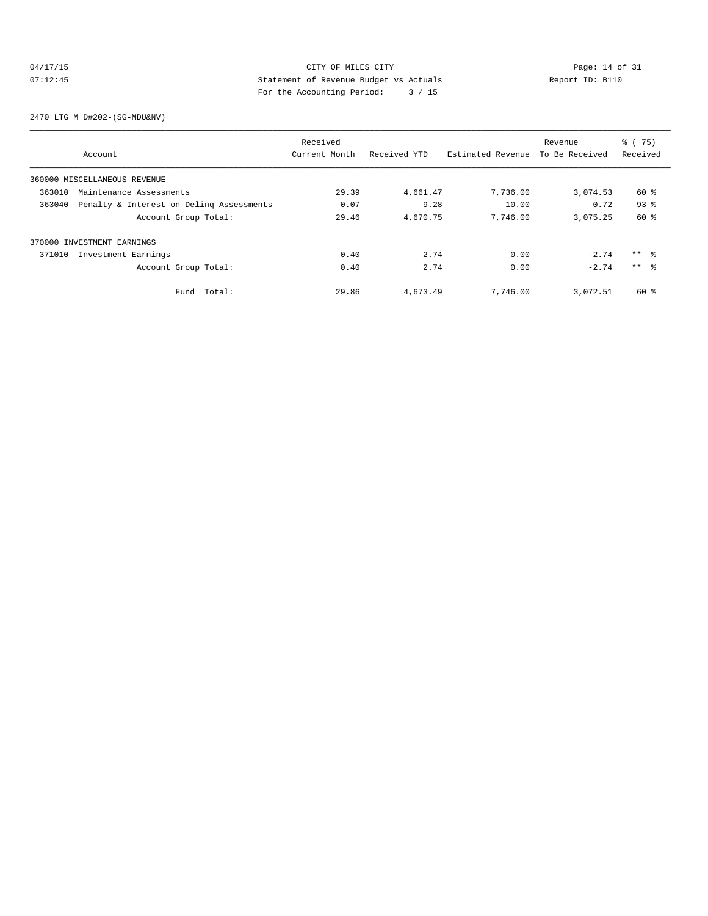## 04/17/15 CITY OF MILES CITY<br>07:12:45 CITY Dege: 14 of 31<br>07:12:45 CITY Development of Revenue Budget vs Actuals 07:12:45 Statement of Revenue Budget vs Actuals Report ID: B110 For the Accounting Period: 3 / 15

2470 LTG M D#202-(SG-MDU&NV)

|        |                                          | Received      |              |                   | Revenue        | % (75)          |
|--------|------------------------------------------|---------------|--------------|-------------------|----------------|-----------------|
|        | Account                                  | Current Month | Received YTD | Estimated Revenue | To Be Received | Received        |
|        | 360000 MISCELLANEOUS REVENUE             |               |              |                   |                |                 |
| 363010 | Maintenance Assessments                  | 29.39         | 4,661.47     | 7,736.00          | 3,074.53       | 60 %            |
| 363040 | Penalty & Interest on Deling Assessments | 0.07          | 9.28         | 10.00             | 0.72           | 93%             |
|        | Account Group Total:                     | 29.46         | 4,670.75     | 7,746.00          | 3,075.25       | 60 %            |
|        | 370000 INVESTMENT EARNINGS               |               |              |                   |                |                 |
| 371010 | Investment Earnings                      | 0.40          | 2.74         | 0.00              | $-2.74$        | $***$ $\approx$ |
|        | Account Group Total:                     | 0.40          | 2.74         | 0.00              | $-2.74$        | $***$ $\approx$ |
|        | Total:<br>Fund                           | 29.86         | 4,673.49     | 7,746.00          | 3,072.51       | 60 %            |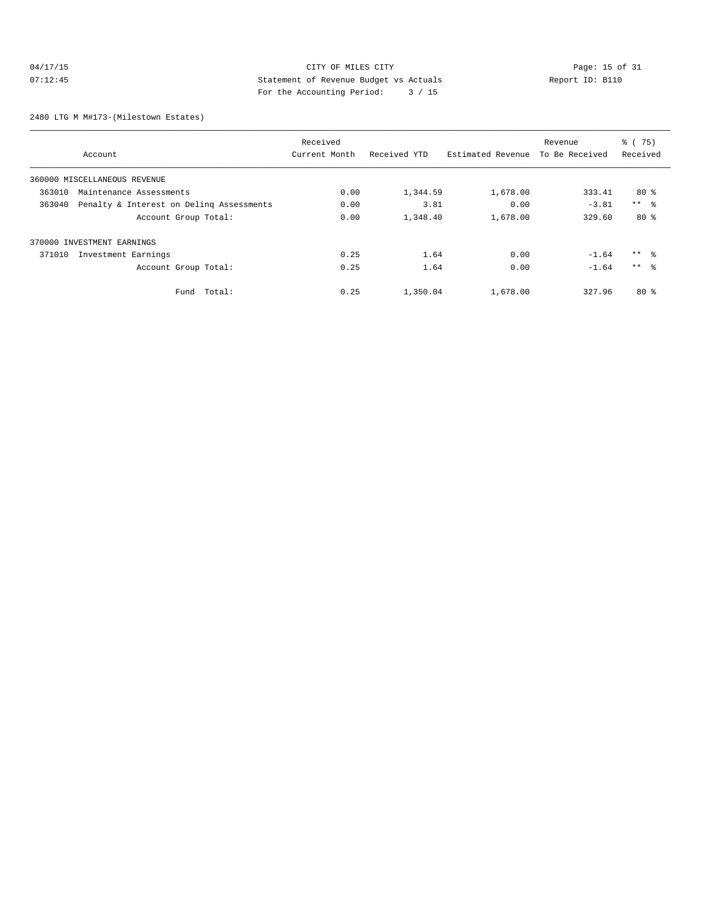## 04/17/15 Page: 15 of 31 07:12:45 Statement of Revenue Budget vs Actuals Report ID: B110 For the Accounting Period: 3 / 15

2480 LTG M M#173-(Milestown Estates)

|                                                    |                      | Received      |              |                   | Revenue        | % (75)          |
|----------------------------------------------------|----------------------|---------------|--------------|-------------------|----------------|-----------------|
| Account                                            |                      | Current Month | Received YTD | Estimated Revenue | To Be Received | Received        |
| 360000 MISCELLANEOUS REVENUE                       |                      |               |              |                   |                |                 |
| 363010<br>Maintenance Assessments                  |                      | 0.00          | 1,344.59     | 1,678.00          | 333.41         | 80%             |
| Penalty & Interest on Deling Assessments<br>363040 |                      | 0.00          | 3.81         | 0.00              | $-3.81$        | $***$ %         |
|                                                    | Account Group Total: | 0.00          | 1,348.40     | 1,678.00          | 329.60         | 80%             |
| 370000 INVESTMENT EARNINGS                         |                      |               |              |                   |                |                 |
| 371010<br>Investment Earnings                      |                      | 0.25          | 1.64         | 0.00              | $-1.64$        | $***$ %         |
|                                                    | Account Group Total: | 0.25          | 1.64         | 0.00              | $-1.64$        | $***$ $\approx$ |
|                                                    | Total:<br>Fund       | 0.25          | 1,350.04     | 1,678.00          | 327.96         | 80%             |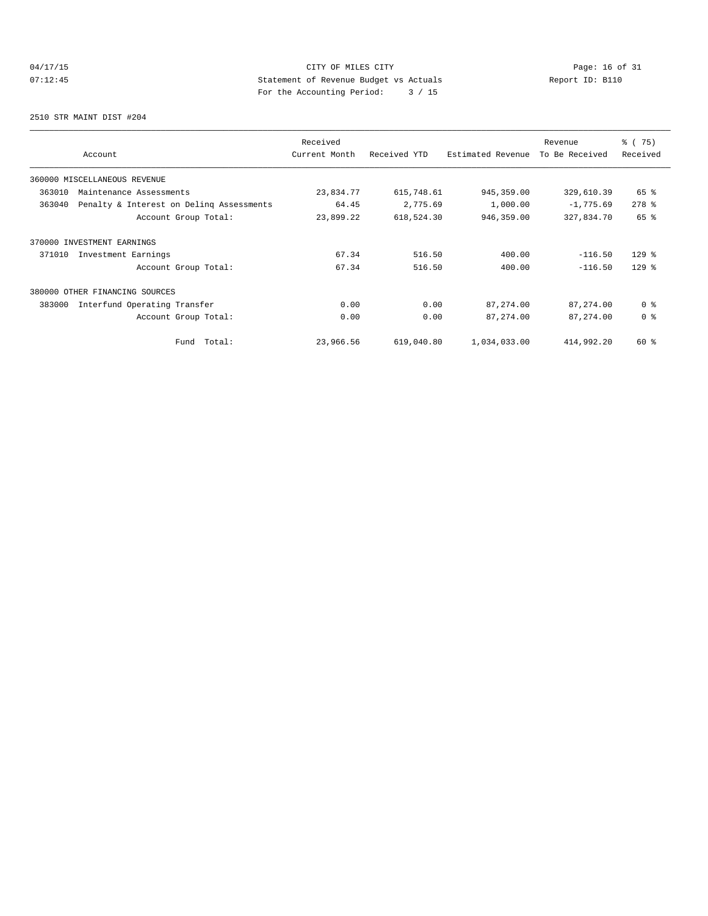# 04/17/15 Page: 16 of 31 07:12:45 Statement of Revenue Budget vs Actuals<br>
Report ID: B110 For the Accounting Period: 3 / 15

2510 STR MAINT DIST #204

| Account                                            | Received<br>Current Month | Received YTD | Estimated Revenue | Revenue<br>To Be Received | 8 (75)<br>Received |
|----------------------------------------------------|---------------------------|--------------|-------------------|---------------------------|--------------------|
| 360000 MISCELLANEOUS REVENUE                       |                           |              |                   |                           |                    |
| 363010<br>Maintenance Assessments                  | 23,834.77                 | 615,748.61   | 945, 359.00       | 329,610.39                | 65 %               |
| Penalty & Interest on Deling Assessments<br>363040 | 64.45                     | 2,775.69     | 1,000.00          | $-1,775.69$               | $278$ %            |
| Account Group Total:                               | 23,899.22                 | 618,524.30   | 946,359.00        | 327,834.70                | 65 %               |
| 370000 INVESTMENT EARNINGS                         |                           |              |                   |                           |                    |
| 371010<br>Investment Earnings                      | 67.34                     | 516.50       | 400.00            | $-116.50$                 | $129$ %            |
| Account Group Total:                               | 67.34                     | 516.50       | 400.00            | $-116.50$                 | $129$ %            |
| 380000 OTHER FINANCING SOURCES                     |                           |              |                   |                           |                    |
| 383000<br>Interfund Operating Transfer             | 0.00                      | 0.00         | 87, 274.00        | 87, 274.00                | 0 <sup>8</sup>     |
| Account Group Total:                               | 0.00                      | 0.00         | 87, 274.00        | 87, 274.00                | 0 <sup>8</sup>     |
| Total:<br>Fund                                     | 23,966.56                 | 619,040.80   | 1,034,033.00      | 414,992.20                | 60 %               |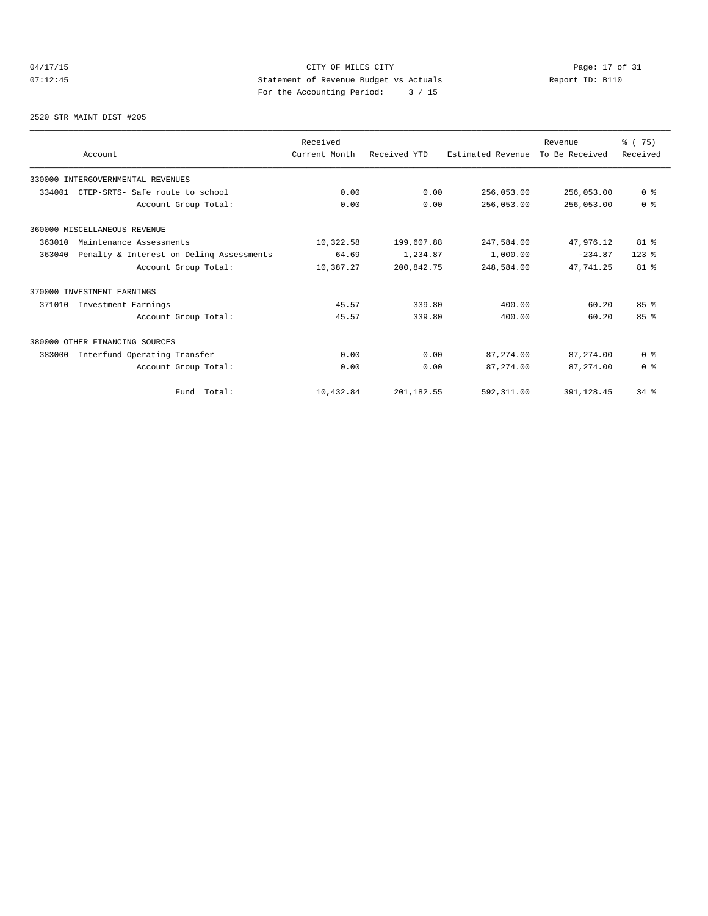# 04/17/15 Page: 17 of 31 07:12:45 Statement of Revenue Budget vs Actuals<br>
Report ID: B110 For the Accounting Period: 3 / 15

## 2520 STR MAINT DIST #205

|        |                                          | Received      |              |                   | Revenue        | % (75)         |
|--------|------------------------------------------|---------------|--------------|-------------------|----------------|----------------|
|        | Account                                  | Current Month | Received YTD | Estimated Revenue | To Be Received | Received       |
|        | 330000 INTERGOVERNMENTAL REVENUES        |               |              |                   |                |                |
| 334001 | CTEP-SRTS- Safe route to school          | 0.00          | 0.00         | 256,053.00        | 256,053.00     | 0 <sup>8</sup> |
|        | Account Group Total:                     | 0.00          | 0.00         | 256,053.00        | 256,053.00     | 0 <sup>8</sup> |
|        | 360000 MISCELLANEOUS REVENUE             |               |              |                   |                |                |
| 363010 | Maintenance Assessments                  | 10,322.58     | 199,607.88   | 247,584.00        | 47,976.12      | 81 %           |
| 363040 | Penalty & Interest on Deling Assessments | 64.69         | 1,234.87     | 1,000.00          | $-234.87$      | $123$ $%$      |
|        | Account Group Total:                     | 10,387.27     | 200.842.75   | 248,584.00        | 47.741.25      | $81$ %         |
|        | 370000 INVESTMENT EARNINGS               |               |              |                   |                |                |
| 371010 | Investment Earnings                      | 45.57         | 339.80       | 400.00            | 60.20          | 85%            |
|        | Account Group Total:                     | 45.57         | 339.80       | 400.00            | 60.20          | 85%            |
|        | 380000 OTHER FINANCING SOURCES           |               |              |                   |                |                |
| 383000 | Interfund Operating Transfer             | 0.00          | 0.00         | 87,274.00         | 87,274.00      | 0 <sup>8</sup> |
|        | Account Group Total:                     | 0.00          | 0.00         | 87, 274, 00       | 87, 274, 00    | 0 <sup>8</sup> |
|        | Fund Total:                              | 10,432.84     | 201,182.55   | 592, 311.00       | 391,128.45     | 34%            |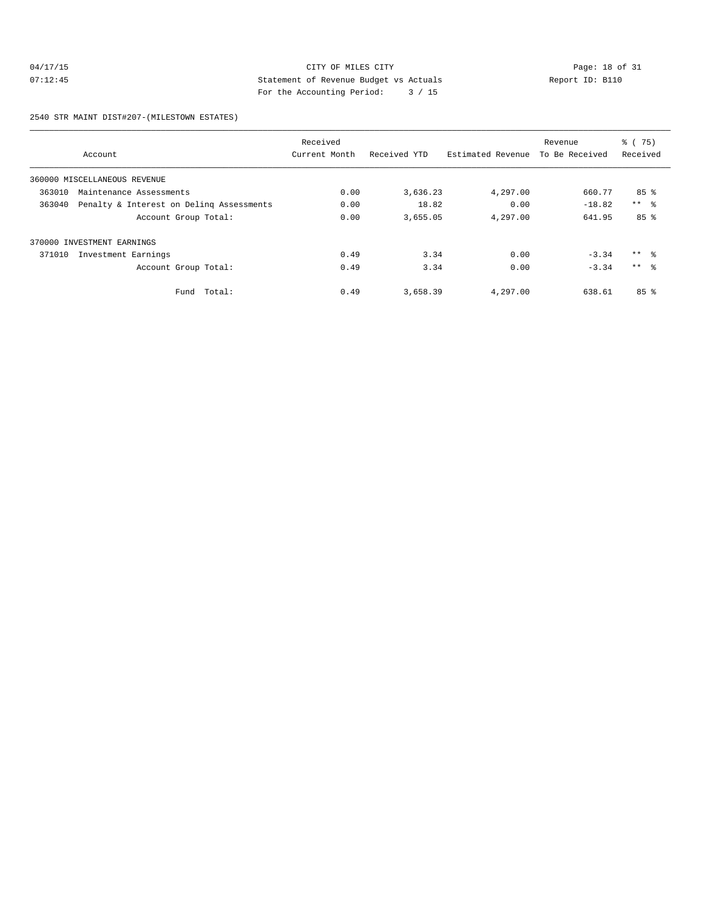## 04/17/15 CITY OF MILES CITY<br>07:12:45 CITY Page: 18 of 31<br>07:12:45 CITY Page: 18 of 31<br>07:12:45 CITY Page: 18 of 31 07:12:45 Statement of Revenue Budget vs Actuals Report ID: B110 For the Accounting Period: 3 / 15

2540 STR MAINT DIST#207-(MILESTOWN ESTATES)

|        |                                          | Received      |              |                   | Revenue        | % (75)          |
|--------|------------------------------------------|---------------|--------------|-------------------|----------------|-----------------|
|        | Account                                  | Current Month | Received YTD | Estimated Revenue | To Be Received | Received        |
|        | 360000 MISCELLANEOUS REVENUE             |               |              |                   |                |                 |
| 363010 | Maintenance Assessments                  | 0.00          | 3,636.23     | 4,297.00          | 660.77         | 85%             |
| 363040 | Penalty & Interest on Deling Assessments | 0.00          | 18.82        | 0.00              | $-18.82$       | $***$ $\approx$ |
|        | Account Group Total:                     | 0.00          | 3,655.05     | 4,297.00          | 641.95         | 85%             |
|        | 370000 INVESTMENT EARNINGS               |               |              |                   |                |                 |
| 371010 | Investment Earnings                      | 0.49          | 3.34         | 0.00              | $-3.34$        | $***$ $\approx$ |
|        | Account Group Total:                     | 0.49          | 3.34         | 0.00              | $-3.34$        | $***$ 8         |
|        | Fund Total:                              | 0.49          | 3,658.39     | 4,297.00          | 638.61         | 85 <sup>8</sup> |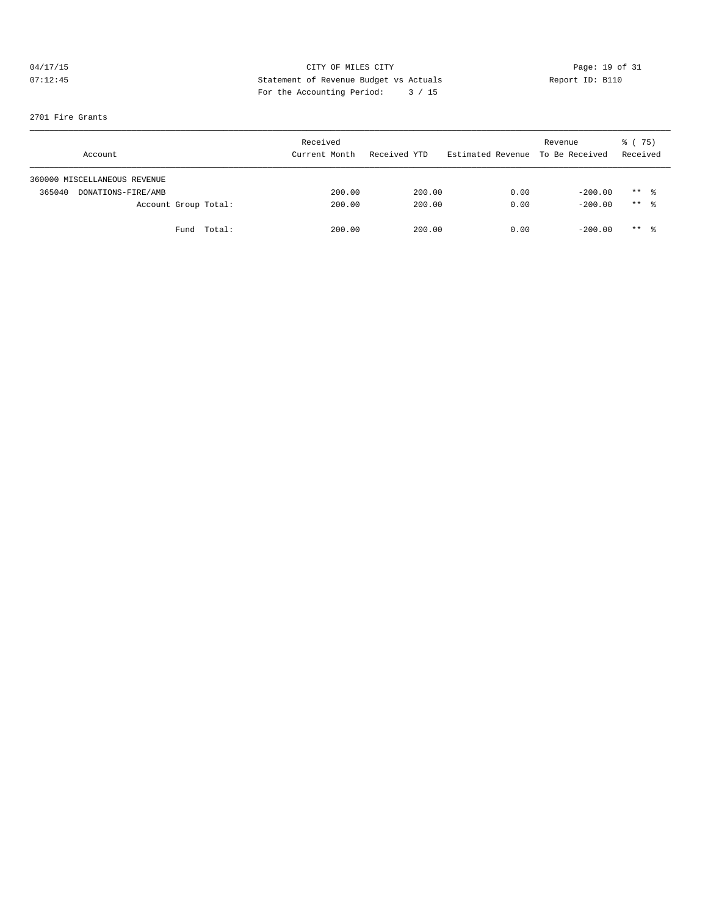# 04/17/15 CITY OF MILES CITY<br>
07:12:45 CHE Statement of Revenue Budget vs Actuals<br>
Pay the Mesourting Pavied: 2002/15 07:12:45 Statement of Revenue Budget vs Actuals Report ID: B110 For the Accounting Period: 3 / 15

## 2701 Fire Grants

| Account                      | Received<br>Current Month | Received YTD | Estimated Revenue To Be Received | Revenue   | 8 (75)<br>Received  |  |
|------------------------------|---------------------------|--------------|----------------------------------|-----------|---------------------|--|
| 360000 MISCELLANEOUS REVENUE |                           |              |                                  |           |                     |  |
| 365040<br>DONATIONS-FIRE/AMB | 200.00                    | 200.00       | 0.00                             | $-200.00$ | $***$ $\frac{6}{3}$ |  |
| Account Group Total:         | 200.00                    | 200.00       | 0.00                             | $-200.00$ | $***$ 8             |  |
| Fund Total:                  | 200.00                    | 200.00       | 0.00                             | $-200.00$ | $***$ $\frac{6}{3}$ |  |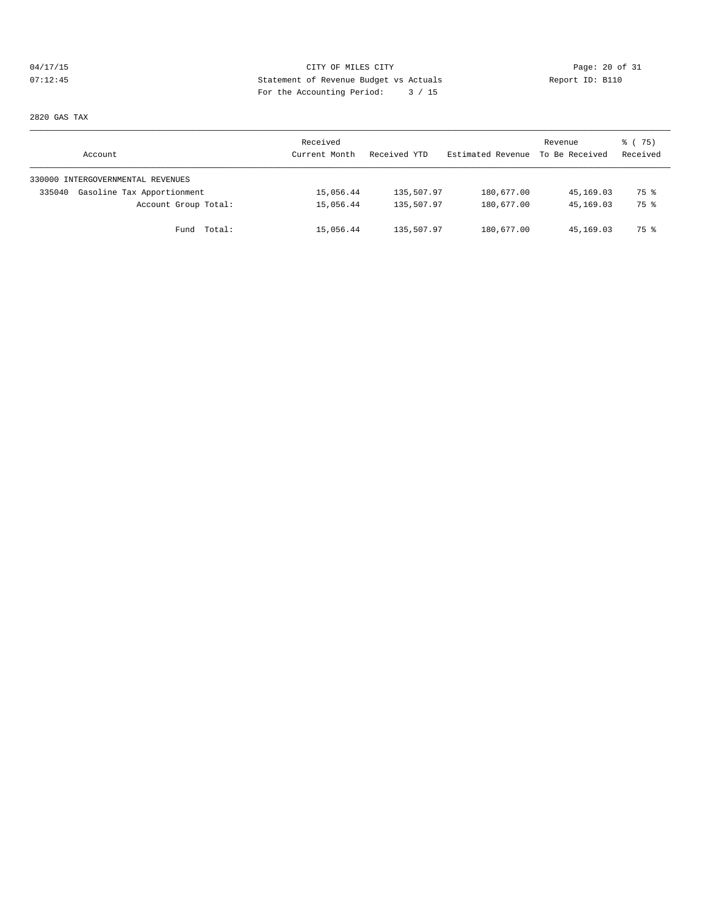# 04/17/15 Page: 20 of 31 07:12:45 Statement of Revenue Budget vs Actuals Report ID: B110 For the Accounting Period: 3 / 15

2820 GAS TAX

| Account                              | Received<br>Current Month | Received YTD | Estimated Revenue | Revenue<br>To Be Received | 8 (75)<br>Received |
|--------------------------------------|---------------------------|--------------|-------------------|---------------------------|--------------------|
| 330000 INTERGOVERNMENTAL REVENUES    |                           |              |                   |                           |                    |
| Gasoline Tax Apportionment<br>335040 | 15,056.44                 | 135,507.97   | 180,677.00        | 45,169.03                 | 75 %               |
| Account Group Total:                 | 15,056.44                 | 135,507.97   | 180,677.00        | 45,169.03                 | 75 %               |
| Fund Total:                          | 15,056.44                 | 135,507.97   | 180,677.00        | 45,169.03                 | 75 %               |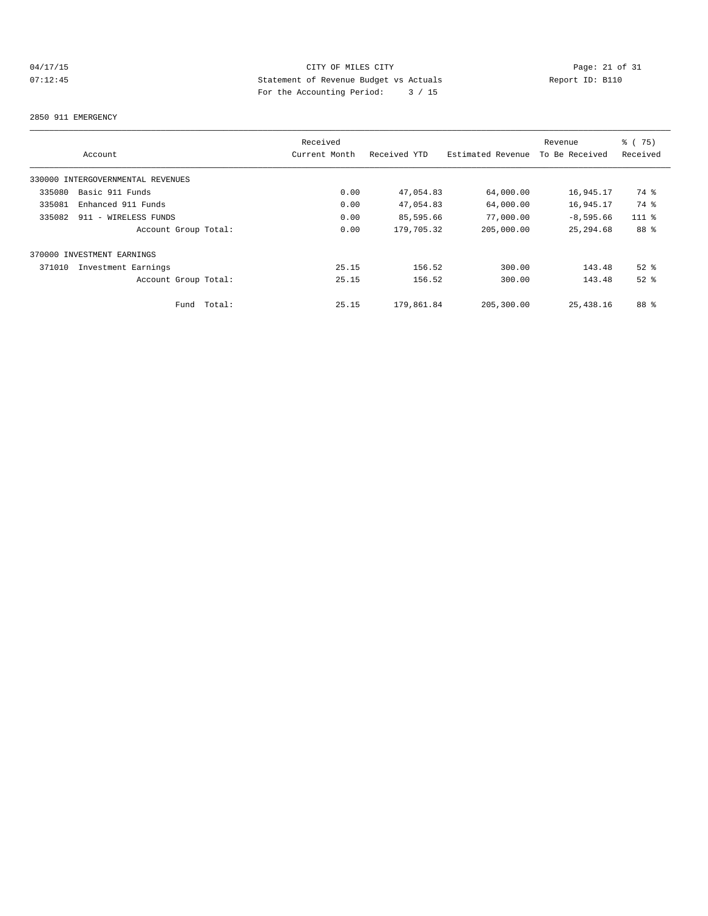# 04/17/15 CITY OF MILES CITY<br>07:12:45 CITY Dege: 21 of 31<br>07:12:45 CITY Development of Revenue Budget vs Actuals 07:12:45 Statement of Revenue Budget vs Actuals Report ID: B110 For the Accounting Period: 3 / 15

## 2850 911 EMERGENCY

|        |                                   |        | Received      |              |                   | Revenue        | % (75)   |
|--------|-----------------------------------|--------|---------------|--------------|-------------------|----------------|----------|
|        | Account                           |        | Current Month | Received YTD | Estimated Revenue | To Be Received | Received |
|        | 330000 INTERGOVERNMENTAL REVENUES |        |               |              |                   |                |          |
| 335080 | Basic 911 Funds                   |        | 0.00          | 47,054.83    | 64,000.00         | 16,945.17      | 74 %     |
| 335081 | Enhanced 911 Funds                |        | 0.00          | 47,054.83    | 64,000.00         | 16,945.17      | 74 %     |
| 335082 | 911 - WIRELESS FUNDS              |        | 0.00          | 85,595.66    | 77,000.00         | $-8,595.66$    | $111$ %  |
|        | Account Group Total:              |        | 0.00          | 179,705.32   | 205,000.00        | 25, 294, 68    | 88 %     |
|        | 370000 INVESTMENT EARNINGS        |        |               |              |                   |                |          |
| 371010 | Investment Earnings               |        | 25.15         | 156.52       | 300.00            | 143.48         | $52$ $%$ |
|        | Account Group Total:              |        | 25.15         | 156.52       | 300.00            | 143.48         | $52$ $%$ |
|        | Fund                              | Total: | 25.15         | 179,861.84   | 205,300.00        | 25,438.16      | 88 %     |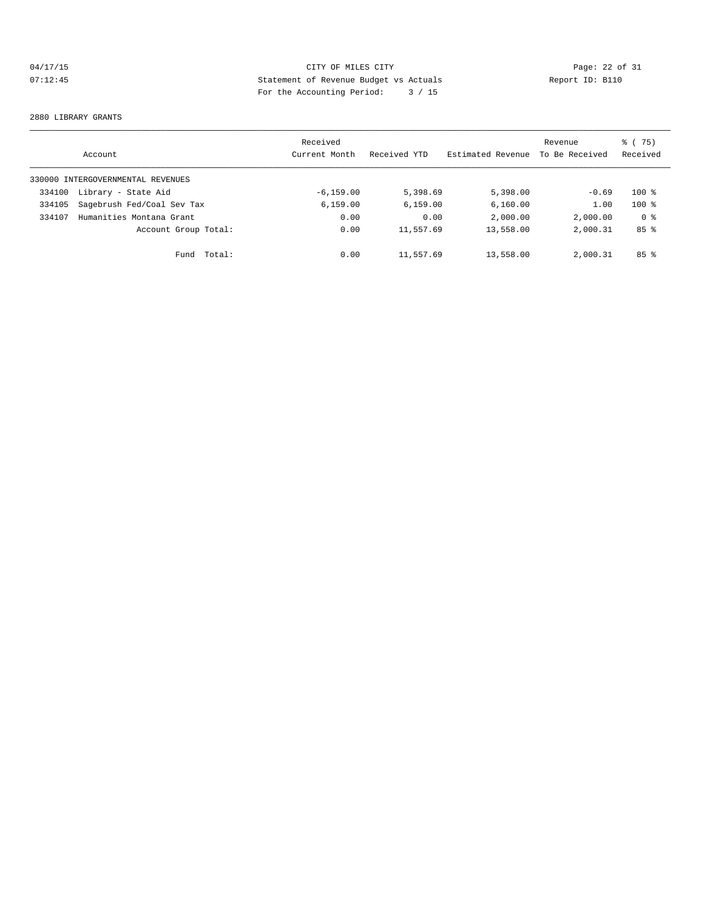# 04/17/15 CITY OF MILES CITY<br>
07:12:45 Page: 22 of 31<br>
Statement of Revenue Budget vs Actuals<br>
Par the Aggounting Pariod: 2, 4 15 07:12:45 Statement of Revenue Budget vs Actuals Report ID: B110 For the Accounting Period: 3 / 15

#### 2880 LIBRARY GRANTS

|        | Account                           | Received<br>Current Month | Received YTD | Estimated Revenue | Revenue<br>To Be Received | 75)<br>ී (<br>Received |
|--------|-----------------------------------|---------------------------|--------------|-------------------|---------------------------|------------------------|
|        | 330000 INTERGOVERNMENTAL REVENUES |                           |              |                   |                           |                        |
| 334100 | Library - State Aid               | $-6.159.00$               | 5,398.69     | 5,398.00          | $-0.69$                   | $100*$                 |
| 334105 | Sagebrush Fed/Coal Sev Tax        | 6, 159.00                 | 6, 159.00    | 6,160.00          | 1.00                      | $100$ %                |
| 334107 | Humanities Montana Grant          | 0.00                      | 0.00         | 2,000.00          | 2,000.00                  | 0 %                    |
|        | Account Group Total:              | 0.00                      | 11,557.69    | 13,558.00         | 2,000.31                  | 85 <sup>8</sup>        |
|        | Total:<br>Fund                    | 0.00                      | 11,557.69    | 13,558.00         | 2,000.31                  | 85 <sup>8</sup>        |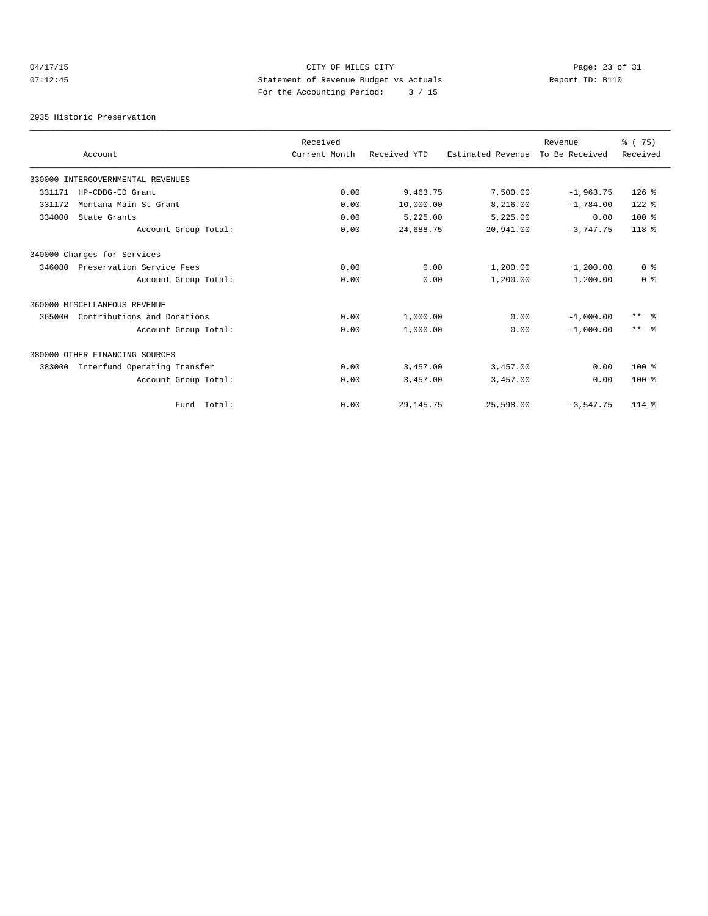# 04/17/15 Page: 23 of 31 07:12:45 Statement of Revenue Budget vs Actuals Report ID: B110 For the Accounting Period: 3 / 15

2935 Historic Preservation

|        |                                   | Received      |              |                   | Revenue        | % (75)            |
|--------|-----------------------------------|---------------|--------------|-------------------|----------------|-------------------|
|        | Account                           | Current Month | Received YTD | Estimated Revenue | To Be Received | Received          |
|        | 330000 INTERGOVERNMENTAL REVENUES |               |              |                   |                |                   |
| 331171 | HP-CDBG-ED Grant                  | 0.00          | 9,463.75     | 7,500.00          | $-1,963.75$    | $126$ %           |
| 331172 | Montana Main St Grant             | 0.00          | 10,000.00    | 8,216.00          | $-1,784.00$    | $122$ %           |
| 334000 | State Grants                      | 0.00          | 5,225.00     | 5,225.00          | 0.00           | $100*$            |
|        | Account Group Total:              | 0.00          | 24,688.75    | 20,941.00         | $-3,747.75$    | $118*$            |
|        | 340000 Charges for Services       |               |              |                   |                |                   |
| 346080 | Preservation Service Fees         | 0.00          | 0.00         | 1,200.00          | 1,200.00       | 0 <sup>8</sup>    |
|        | Account Group Total:              | 0.00          | 0.00         | 1,200.00          | 1,200.00       | 0 <sup>8</sup>    |
|        | 360000 MISCELLANEOUS REVENUE      |               |              |                   |                |                   |
| 365000 | Contributions and Donations       | 0.00          | 1,000.00     | 0.00              | $-1,000.00$    | $\star\star$<br>း |
|        | Account Group Total:              | 0.00          | 1,000.00     | 0.00              | $-1,000.00$    | $***$ $\approx$   |
|        | 380000 OTHER FINANCING SOURCES    |               |              |                   |                |                   |
| 383000 | Interfund Operating Transfer      | 0.00          | 3,457.00     | 3,457.00          | 0.00           | $100*$            |
|        | Account Group Total:              | 0.00          | 3,457.00     | 3,457.00          | 0.00           | $100*$            |
|        | Fund Total:                       | 0.00          | 29, 145. 75  | 25,598.00         | $-3,547.75$    | $114*$            |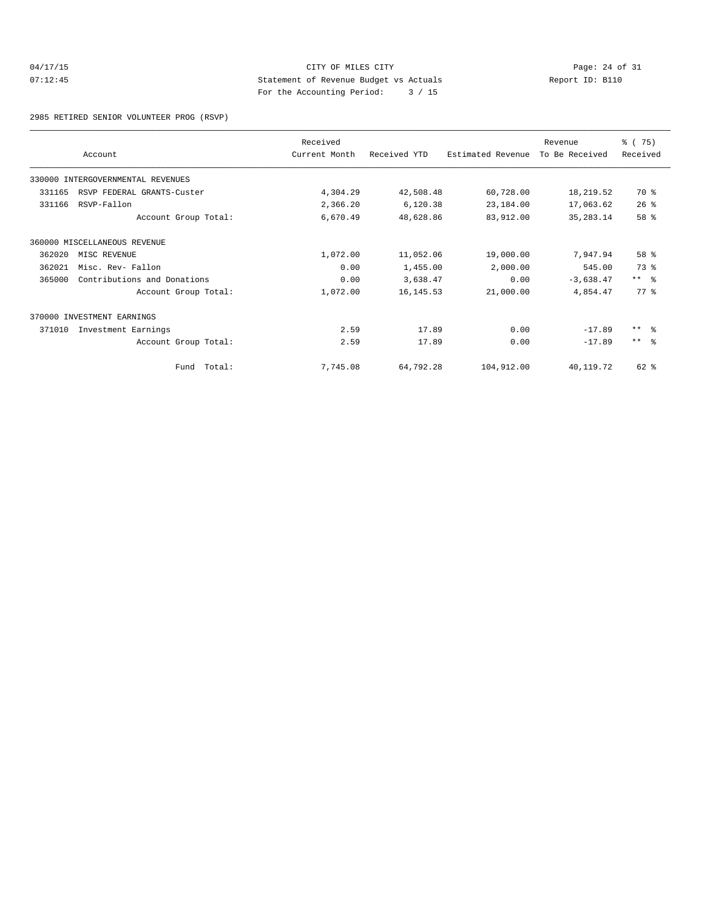## 04/17/15 Page: 24 of 31 07:12:45 Statement of Revenue Budget vs Actuals Report ID: B110 For the Accounting Period: 3 / 15

2985 RETIRED SENIOR VOLUNTEER PROG (RSVP)

|        | Account                           | Received<br>Current Month | Received YTD | Estimated Revenue | Revenue<br>To Be Received | % (75)<br>Received |
|--------|-----------------------------------|---------------------------|--------------|-------------------|---------------------------|--------------------|
|        |                                   |                           |              |                   |                           |                    |
|        | 330000 INTERGOVERNMENTAL REVENUES |                           |              |                   |                           |                    |
| 331165 | RSVP FEDERAL GRANTS-Custer        | 4,304.29                  | 42,508.48    | 60,728.00         | 18,219.52                 | 70 %               |
| 331166 | RSVP-Fallon                       | 2,366.20                  | 6,120.38     | 23,184.00         | 17,063.62                 | 26%                |
|        | Account Group Total:              | 6,670.49                  | 48,628.86    | 83,912.00         | 35, 283. 14               | 58 %               |
|        | 360000 MISCELLANEOUS REVENUE      |                           |              |                   |                           |                    |
| 362020 | MISC REVENUE                      | 1,072.00                  | 11,052.06    | 19,000.00         | 7,947.94                  | 58 %               |
| 362021 | Misc. Rev- Fallon                 | 0.00                      | 1,455.00     | 2,000.00          | 545.00                    | 73 %               |
| 365000 | Contributions and Donations       | 0.00                      | 3,638.47     | 0.00              | $-3,638.47$               | $***$ $ -$         |
|        | Account Group Total:              | 1,072.00                  | 16, 145.53   | 21,000.00         | 4,854.47                  | 77.8               |
|        | 370000 INVESTMENT EARNINGS        |                           |              |                   |                           |                    |
| 371010 | Investment Earnings               | 2.59                      | 17.89        | 0.00              | $-17.89$                  | $***$ $\approx$    |
|        | Account Group Total:              | 2.59                      | 17.89        | 0.00              | $-17.89$                  | $***$ $\approx$    |
|        | Fund Total:                       | 7,745.08                  | 64,792.28    | 104,912.00        | 40,119.72                 | 62 %               |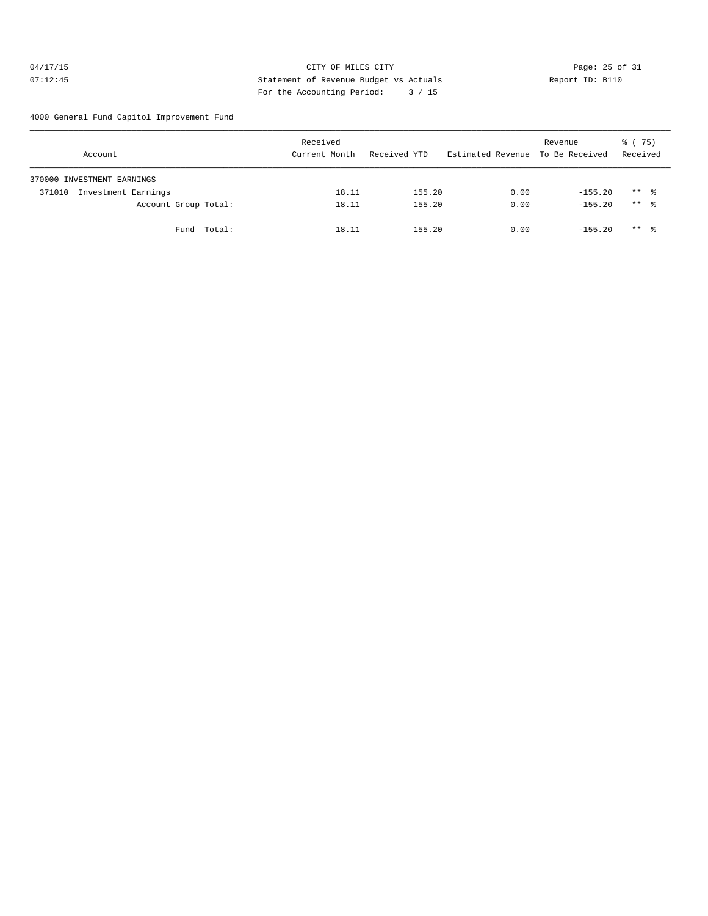## 04/17/15 Page: 25 of 31 07:12:45 Statement of Revenue Budget vs Actuals Report ID: B110 For the Accounting Period: 3 / 15

4000 General Fund Capitol Improvement Fund

| Account                       | Received<br>Current Month | Received YTD | Estimated Revenue To Be Received | Revenue   | 8 (75)<br>Received  |
|-------------------------------|---------------------------|--------------|----------------------------------|-----------|---------------------|
| 370000 INVESTMENT EARNINGS    |                           |              |                                  |           |                     |
| Investment Earnings<br>371010 | 18.11                     | 155.20       | 0.00                             | $-155.20$ | $***$ $\frac{6}{3}$ |
| Account Group Total:          | 18.11                     | 155.20       | 0.00                             | $-155.20$ | $***$ 8             |
| Fund Total:                   | 18.11                     | 155.20       | 0.00                             | $-155.20$ | $***$ $\frac{6}{3}$ |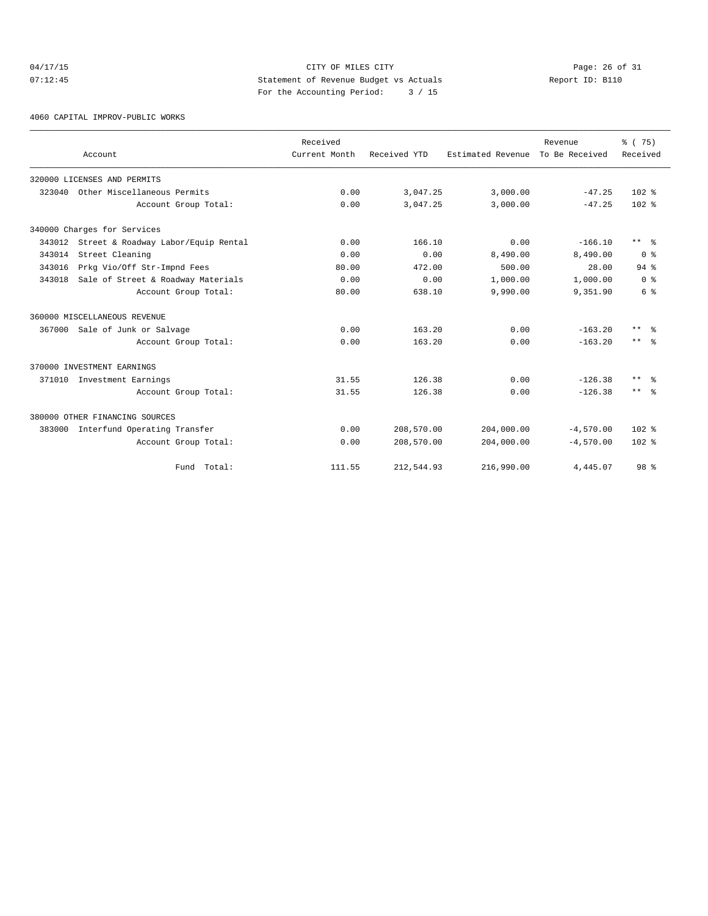## $04/17/15$  Page: 26 of 31 07:12:45 Statement of Revenue Budget vs Actuals Report ID: B110 For the Accounting Period: 3 / 15

4060 CAPITAL IMPROV-PUBLIC WORKS

|        | Account                                    | Received<br>Current Month | Received YTD | Estimated Revenue | Revenue<br>To Be Received | % (75)<br>Received      |
|--------|--------------------------------------------|---------------------------|--------------|-------------------|---------------------------|-------------------------|
|        | 320000 LICENSES AND PERMITS                |                           |              |                   |                           |                         |
| 323040 | Other Miscellaneous Permits                | 0.00                      | 3,047.25     | 3,000.00          | $-47.25$                  | $102*$                  |
|        | Account Group Total:                       | 0.00                      | 3,047.25     | 3,000.00          | $-47.25$                  | $102*$                  |
|        | 340000 Charges for Services                |                           |              |                   |                           |                         |
|        | 343012 Street & Roadway Labor/Equip Rental | 0.00                      | 166.10       | 0.00              | $-166.10$                 | $***$ $\approx$         |
| 343014 | Street Cleaning                            | 0.00                      | 0.00         | 8,490.00          | 8,490.00                  | $0 \text{ }$ $\text{*}$ |
| 343016 | Prkg Vio/Off Str-Impnd Fees                | 80.00                     | 472.00       | 500.00            | 28.00                     | $94$ $%$                |
| 343018 | Sale of Street & Roadway Materials         | 0.00                      | 0.00         | 1,000.00          | 1,000.00                  | 0 <sup>8</sup>          |
|        | Account Group Total:                       | 80.00                     | 638.10       | 9,990.00          | 9,351.90                  | 6 %                     |
|        | 360000 MISCELLANEOUS REVENUE               |                           |              |                   |                           |                         |
| 367000 | Sale of Junk or Salvage                    | 0.00                      | 163.20       | 0.00              | $-163.20$                 | $***$ $\approx$         |
|        | Account Group Total:                       | 0.00                      | 163.20       | 0.00              | $-163.20$                 | $***$ $ -$              |
|        | 370000 INVESTMENT EARNINGS                 |                           |              |                   |                           |                         |
|        | 371010 Investment Earnings                 | 31.55                     | 126.38       | 0.00              | $-126.38$                 | $***$ $=$ $\frac{6}{5}$ |
|        | Account Group Total:                       | 31.55                     | 126.38       | 0.00              | $-126.38$                 | $***$ $=$ $\frac{6}{5}$ |
|        | 380000 OTHER FINANCING SOURCES             |                           |              |                   |                           |                         |
| 383000 | Interfund Operating Transfer               | 0.00                      | 208,570.00   | 204,000.00        | $-4,570.00$               | $102$ %                 |
|        | Account Group Total:                       | 0.00                      | 208,570.00   | 204,000.00        | $-4,570.00$               | $102*$                  |
|        | Fund Total:                                | 111.55                    | 212,544.93   | 216,990.00        | 4,445.07                  | 98 %                    |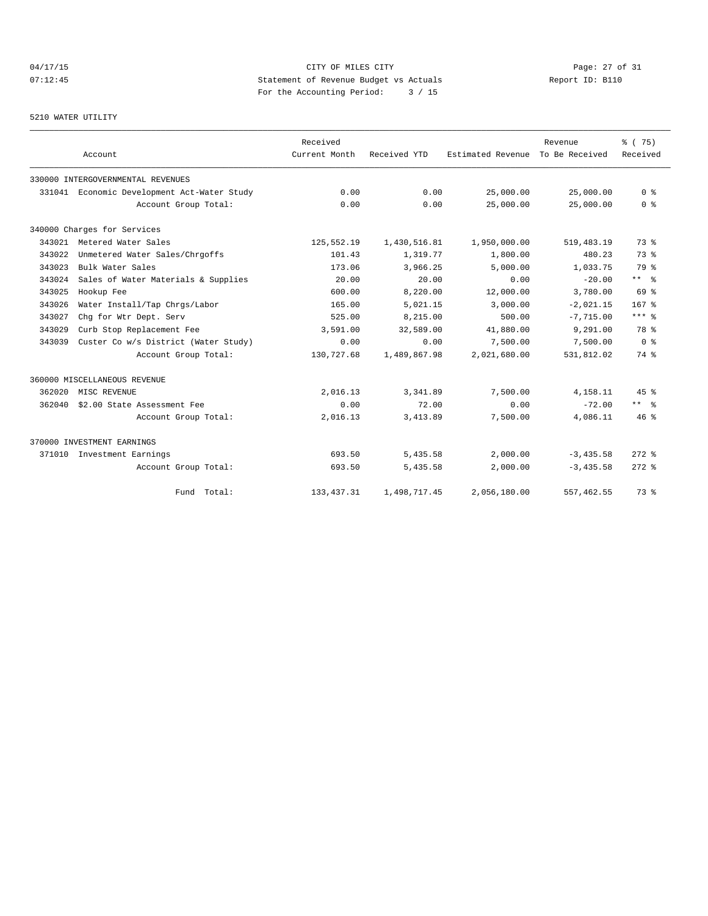# 04/17/15 Page: 27 of 31 07:12:45 Statement of Revenue Budget vs Actuals Report ID: B110 For the Accounting Period: 3 / 15

## 5210 WATER UTILITY

|        | Account                                     | Received<br>Current Month | Received YTD | Estimated Revenue | Revenue<br>To Be Received | 8 (75)<br>Received   |
|--------|---------------------------------------------|---------------------------|--------------|-------------------|---------------------------|----------------------|
|        | 330000 INTERGOVERNMENTAL REVENUES           |                           |              |                   |                           |                      |
|        | 331041 Economic Development Act-Water Study | 0.00                      | 0.00         | 25,000.00         | 25,000.00                 | 0 <sup>8</sup>       |
|        | Account Group Total:                        | 0.00                      | 0.00         | 25,000.00         | 25,000.00                 | 0 <sup>8</sup>       |
|        | 340000 Charges for Services                 |                           |              |                   |                           |                      |
|        | 343021 Metered Water Sales                  | 125,552.19                | 1,430,516.81 | 1,950,000.00      | 519, 483.19               | 73.8                 |
| 343022 | Unmetered Water Sales/Chrgoffs              | 101.43                    | 1,319.77     | 1,800.00          | 480.23                    | 73%                  |
| 343023 | Bulk Water Sales                            | 173.06                    | 3,966.25     | 5.000.00          | 1,033.75                  | 79 %                 |
| 343024 | Sales of Water Materials & Supplies         | 20.00                     | 20.00        | 0.00              | $-20.00$                  | $***$ $ -$           |
| 343025 | Hookup Fee                                  | 600.00                    | 8,220.00     | 12,000.00         | 3,780.00                  | 69 %                 |
| 343026 | Water Install/Tap Chrgs/Labor               | 165.00                    | 5,021.15     | 3,000.00          | $-2.021.15$               | 167 <sup>8</sup>     |
| 343027 | Chg for Wtr Dept. Serv                      | 525.00                    | 8,215.00     | 500.00            | $-7,715.00$               | $***$ $_{8}$         |
| 343029 | Curb Stop Replacement Fee                   | 3,591.00                  | 32,589.00    | 41,880.00         | 9,291.00                  | 78 %                 |
| 343039 | Custer Co w/s District (Water Study)        | 0.00                      | 0.00         | 7,500.00          | 7,500.00                  | 0 <sup>8</sup>       |
|        | Account Group Total:                        | 130,727.68                | 1,489,867.98 | 2,021,680.00      | 531,812.02                | 74 %                 |
|        | 360000 MISCELLANEOUS REVENUE                |                           |              |                   |                           |                      |
| 362020 | MISC REVENUE                                | 2,016.13                  | 3,341.89     | 7,500.00          | 4,158.11                  | 45%                  |
| 362040 | \$2.00 State Assessment Fee                 | 0.00                      | 72.00        | 0.00              | $-72.00$                  | $***$ $ \frac{6}{9}$ |
|        | Account Group Total:                        | 2,016.13                  | 3,413.89     | 7,500.00          | 4,086.11                  | $46*$                |
|        | 370000 INVESTMENT EARNINGS                  |                           |              |                   |                           |                      |
| 371010 | Investment Earnings                         | 693.50                    | 5,435.58     | 2,000.00          | $-3,435.58$               | $272$ $%$            |
|        | Account Group Total:                        | 693.50                    | 5,435.58     | 2,000.00          | $-3, 435.58$              | $272$ $%$            |
|        | Fund Total:                                 | 133, 437.31               | 1,498,717.45 | 2,056,180.00      | 557,462.55                | 73 %                 |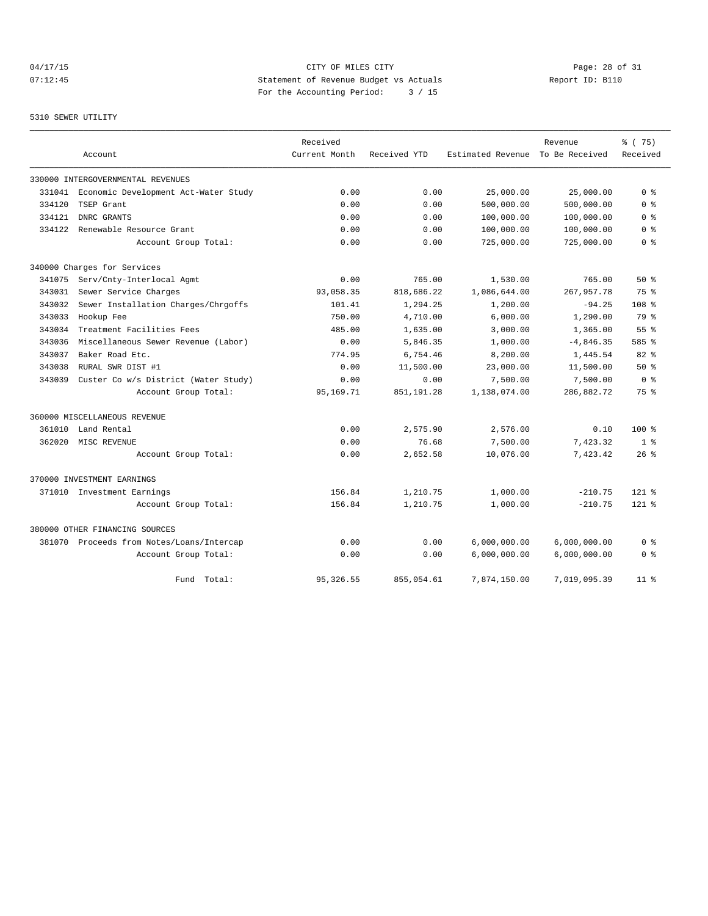# 04/17/15 Page: 28 of 31 07:12:45 Statement of Revenue Budget vs Actuals Report ID: B110 For the Accounting Period: 3 / 15

## 5310 SEWER UTILITY

|        |                                           | Received      |              |                   | Revenue        | 8 (75)           |
|--------|-------------------------------------------|---------------|--------------|-------------------|----------------|------------------|
|        | Account                                   | Current Month | Received YTD | Estimated Revenue | To Be Received | Received         |
|        | 330000 INTERGOVERNMENTAL REVENUES         |               |              |                   |                |                  |
| 331041 | Economic Development Act-Water Study      | 0.00          | 0.00         | 25,000.00         | 25,000.00      | 0 <sup>8</sup>   |
| 334120 | TSEP Grant                                | 0.00          | 0.00         | 500,000.00        | 500,000.00     | 0 <sup>8</sup>   |
| 334121 | DNRC GRANTS                               | 0.00          | 0.00         | 100,000.00        | 100,000.00     | 0 <sup>8</sup>   |
| 334122 | Renewable Resource Grant                  | 0.00          | 0.00         | 100,000.00        | 100,000.00     | 0 %              |
|        | Account Group Total:                      | 0.00          | 0.00         | 725,000.00        | 725,000.00     | 0 <sup>8</sup>   |
|        | 340000 Charges for Services               |               |              |                   |                |                  |
| 341075 | Serv/Cnty-Interlocal Agmt                 | 0.00          | 765.00       | 1,530.00          | 765.00         | $50*$            |
| 343031 | Sewer Service Charges                     | 93,058.35     | 818,686.22   | 1,086,644.00      | 267,957.78     | 75%              |
| 343032 | Sewer Installation Charges/Chrgoffs       | 101.41        | 1,294.25     | 1,200.00          | $-94.25$       | 108 <sup>8</sup> |
| 343033 | Hookup Fee                                | 750.00        | 4,710.00     | 6,000.00          | 1,290.00       | 79 %             |
| 343034 | Treatment Facilities Fees                 | 485.00        | 1,635.00     | 3,000.00          | 1,365.00       | 55%              |
| 343036 | Miscellaneous Sewer Revenue (Labor)       | 0.00          | 5,846.35     | 1,000.00          | $-4,846.35$    | 585 %            |
| 343037 | Baker Road Etc.                           | 774.95        | 6,754.46     | 8,200.00          | 1,445.54       | 82%              |
| 343038 | RURAL SWR DIST #1                         | 0.00          | 11,500.00    | 23,000.00         | 11,500.00      | 50%              |
| 343039 | Custer Co w/s District (Water Study)      | 0.00          | 0.00         | 7,500.00          | 7,500.00       | 0 <sup>8</sup>   |
|        | Account Group Total:                      | 95,169.71     | 851, 191.28  | 1,138,074.00      | 286,882.72     | 75 %             |
|        | 360000 MISCELLANEOUS REVENUE              |               |              |                   |                |                  |
| 361010 | Land Rental                               | 0.00          | 2,575.90     | 2,576.00          | 0.10           | $100*$           |
| 362020 | MISC REVENUE                              | 0.00          | 76.68        | 7,500.00          | 7,423.32       | 1 <sup>8</sup>   |
|        | Account Group Total:                      | 0.00          | 2,652.58     | 10,076.00         | 7,423.42       | $26$ %           |
|        | 370000 INVESTMENT EARNINGS                |               |              |                   |                |                  |
|        | 371010 Investment Earnings                | 156.84        | 1,210.75     | 1,000.00          | $-210.75$      | $121$ %          |
|        | Account Group Total:                      | 156.84        | 1,210.75     | 1,000.00          | $-210.75$      | $121$ %          |
|        | 380000 OTHER FINANCING SOURCES            |               |              |                   |                |                  |
|        | 381070 Proceeds from Notes/Loans/Intercap | 0.00          | 0.00         | 6,000,000.00      | 6,000,000.00   | 0 <sup>8</sup>   |
|        | Account Group Total:                      | 0.00          | 0.00         | 6,000,000.00      | 6,000,000.00   | 0 <sup>8</sup>   |
|        | Fund Total:                               | 95, 326.55    | 855,054.61   | 7,874,150.00      | 7,019,095.39   | $11$ %           |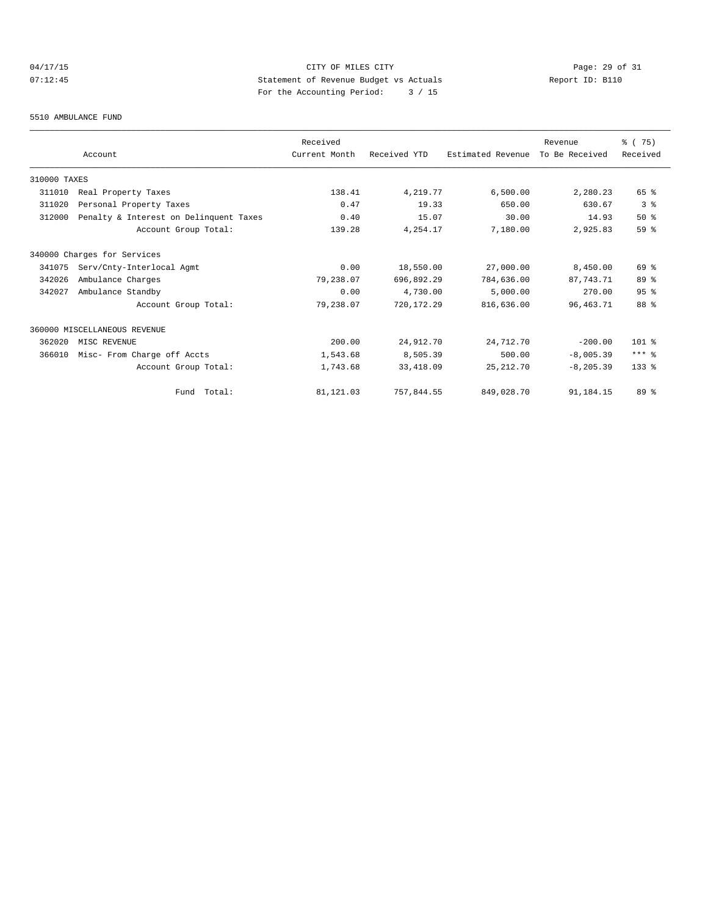# 04/17/15 CITY OF MILES CITY<br>07:12:45 CITY Dege: 29 of 31<br>07:12:45 CITY Development of Revenue Budget vs Actuals 07:12:45 Statement of Revenue Budget vs Actuals Report ID: B110 For the Accounting Period: 3 / 15

## 5510 AMBULANCE FUND

|              |                                        | Received      |              |                   | Revenue        | % (75)    |
|--------------|----------------------------------------|---------------|--------------|-------------------|----------------|-----------|
|              | Account                                | Current Month | Received YTD | Estimated Revenue | To Be Received | Received  |
| 310000 TAXES |                                        |               |              |                   |                |           |
| 311010       | Real Property Taxes                    | 138.41        | 4,219.77     | 6,500.00          | 2,280.23       | 65 %      |
| 311020       | Personal Property Taxes                | 0.47          | 19.33        | 650.00            | 630.67         | 3%        |
| 312000       | Penalty & Interest on Delinquent Taxes | 0.40          | 15.07        | 30.00             | 14.93          | 50%       |
|              | Account Group Total:                   | 139.28        | 4,254.17     | 7,180.00          | 2,925.83       | 59 %      |
|              | 340000 Charges for Services            |               |              |                   |                |           |
| 341075       | Serv/Cnty-Interlocal Agmt              | 0.00          | 18,550.00    | 27,000.00         | 8,450.00       | 69 %      |
| 342026       | Ambulance Charges                      | 79,238.07     | 696,892.29   | 784,636.00        | 87.743.71      | 89 %      |
| 342027       | Ambulance Standby                      | 0.00          | 4,730.00     | 5,000.00          | 270.00         | 95%       |
|              | Account Group Total:                   | 79,238.07     | 720, 172.29  | 816,636.00        | 96, 463. 71    | 88 %      |
|              | 360000 MISCELLANEOUS REVENUE           |               |              |                   |                |           |
| 362020       | MISC REVENUE                           | 200.00        | 24,912.70    | 24,712.70         | $-200.00$      | $101$ %   |
| 366010       | Misc- From Charge off Accts            | 1,543.68      | 8,505.39     | 500.00            | $-8,005.39$    | $***$ $%$ |
|              | Account Group Total:                   | 1,743.68      | 33, 418.09   | 25, 212.70        | $-8, 205.39$   | 133 %     |
|              | Fund Total:                            | 81, 121.03    | 757,844.55   | 849,028.70        | 91,184.15      | $89*$     |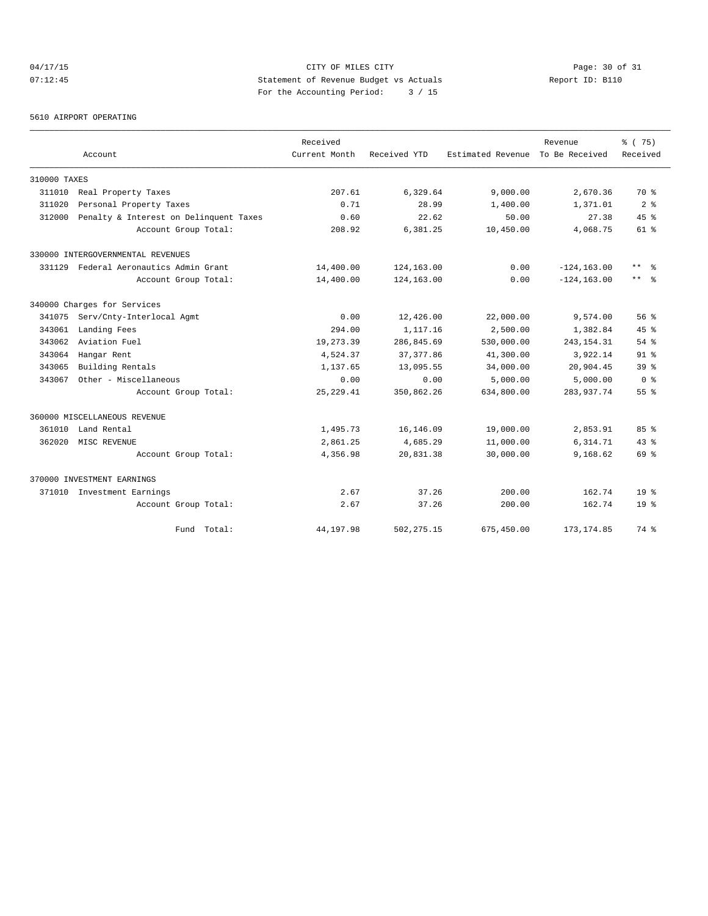# 04/17/15 Page: 30 of 31 07:12:45 Statement of Revenue Budget vs Actuals Report ID: B110 For the Accounting Period: 3 / 15

5610 AIRPORT OPERATING

|              |                                        | Received      |              |                   | Revenue        | 8 (75)          |
|--------------|----------------------------------------|---------------|--------------|-------------------|----------------|-----------------|
|              | Account                                | Current Month | Received YTD | Estimated Revenue | To Be Received | Received        |
| 310000 TAXES |                                        |               |              |                   |                |                 |
| 311010       | Real Property Taxes                    | 207.61        | 6,329.64     | 9,000.00          | 2,670.36       | 70 %            |
| 311020       | Personal Property Taxes                | 0.71          | 28.99        | 1,400.00          | 1,371.01       | 2 <sup>8</sup>  |
| 312000       | Penalty & Interest on Delinquent Taxes | 0.60          | 22.62        | 50.00             | 27.38          | 45%             |
|              | Account Group Total:                   | 208.92        | 6,381.25     | 10,450.00         | 4,068.75       | 61 %            |
|              | 330000 INTERGOVERNMENTAL REVENUES      |               |              |                   |                |                 |
| 331129       | Federal Aeronautics Admin Grant        | 14,400.00     | 124,163.00   | 0.00              | $-124, 163.00$ | $***$ $%$       |
|              | Account Group Total:                   | 14,400.00     | 124,163.00   | 0.00              | $-124, 163.00$ | $***$ $ -$      |
|              | 340000 Charges for Services            |               |              |                   |                |                 |
| 341075       | Serv/Cnty-Interlocal Agmt              | 0.00          | 12,426.00    | 22,000.00         | 9,574.00       | 56%             |
| 343061       | Landing Fees                           | 294.00        | 1,117.16     | 2,500.00          | 1,382.84       | 45%             |
| 343062       | Aviation Fuel                          | 19,273.39     | 286,845.69   | 530,000.00        | 243, 154. 31   | $54$ $%$        |
| 343064       | Hangar Rent                            | 4,524.37      | 37, 377.86   | 41,300.00         | 3,922.14       | $91$ $%$        |
| 343065       | Building Rentals                       | 1,137.65      | 13,095.55    | 34,000.00         | 20,904.45      | 39.8            |
| 343067       | Other - Miscellaneous                  | 0.00          | 0.00         | 5,000.00          | 5,000.00       | 0 <sup>8</sup>  |
|              | Account Group Total:                   | 25, 229.41    | 350,862.26   | 634,800.00        | 283,937.74     | 55%             |
|              | 360000 MISCELLANEOUS REVENUE           |               |              |                   |                |                 |
| 361010       | Land Rental                            | 1,495.73      | 16,146.09    | 19,000.00         | 2,853.91       | 85%             |
| 362020       | MISC REVENUE                           | 2,861.25      | 4,685.29     | 11,000.00         | 6,314.71       | $43*$           |
|              | Account Group Total:                   | 4,356.98      | 20,831.38    | 30,000.00         | 9,168.62       | 69 %            |
|              | 370000 INVESTMENT EARNINGS             |               |              |                   |                |                 |
|              | 371010 Investment Earnings             | 2.67          | 37.26        | 200.00            | 162.74         | 19 <sup>°</sup> |
|              | Account Group Total:                   | 2.67          | 37.26        | 200.00            | 162.74         | $19*$           |
|              | Fund Total:                            | 44,197.98     | 502, 275.15  | 675,450.00        | 173, 174.85    | 74 %            |